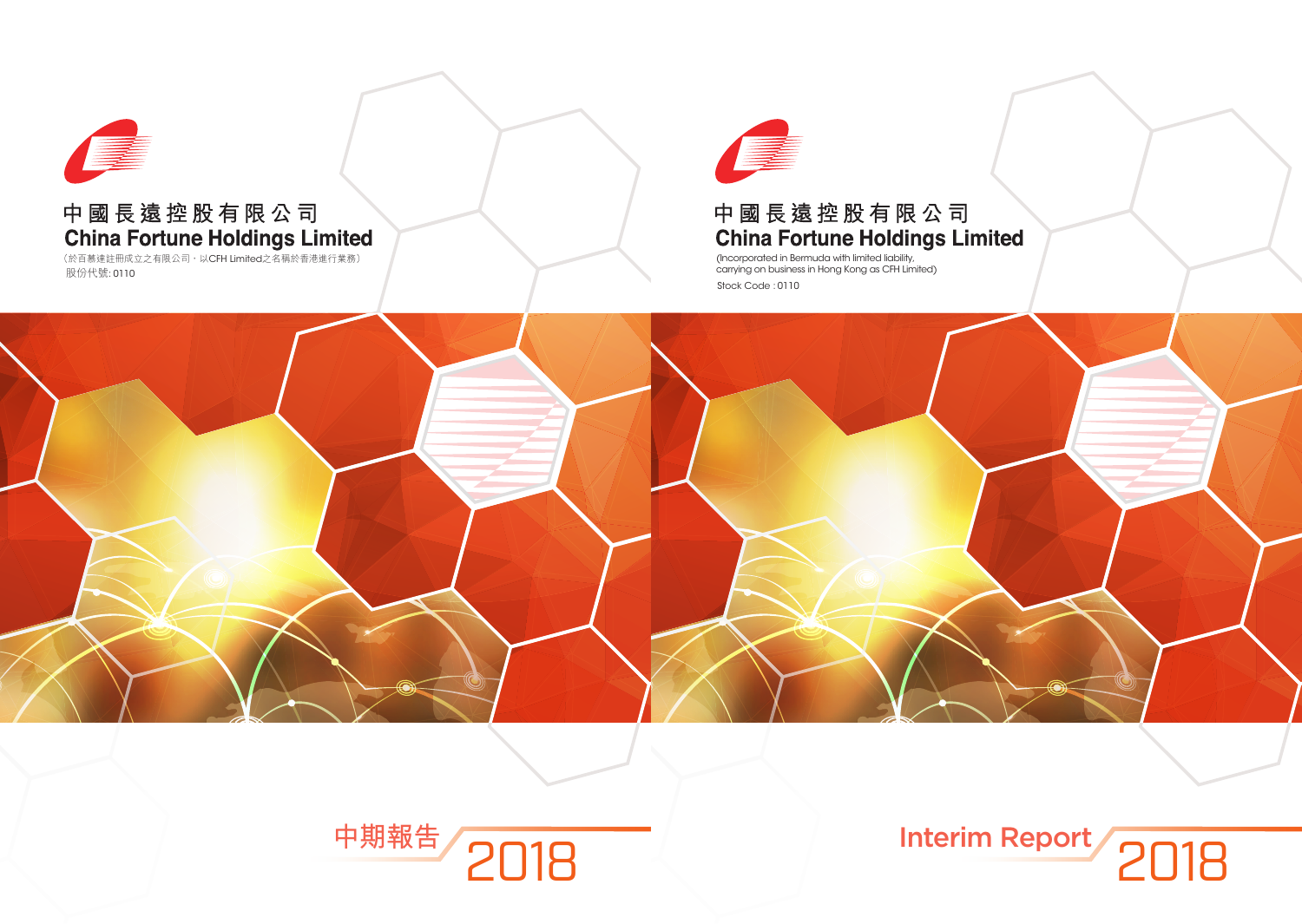

# 中國長遠控股有限公司 China Fortune Holdings Limited

(Incorporated in Bermuda with limited liability, carrying on business in Hong Kong as CFH Limited) Stock Code : 0110



# Interim Report 2018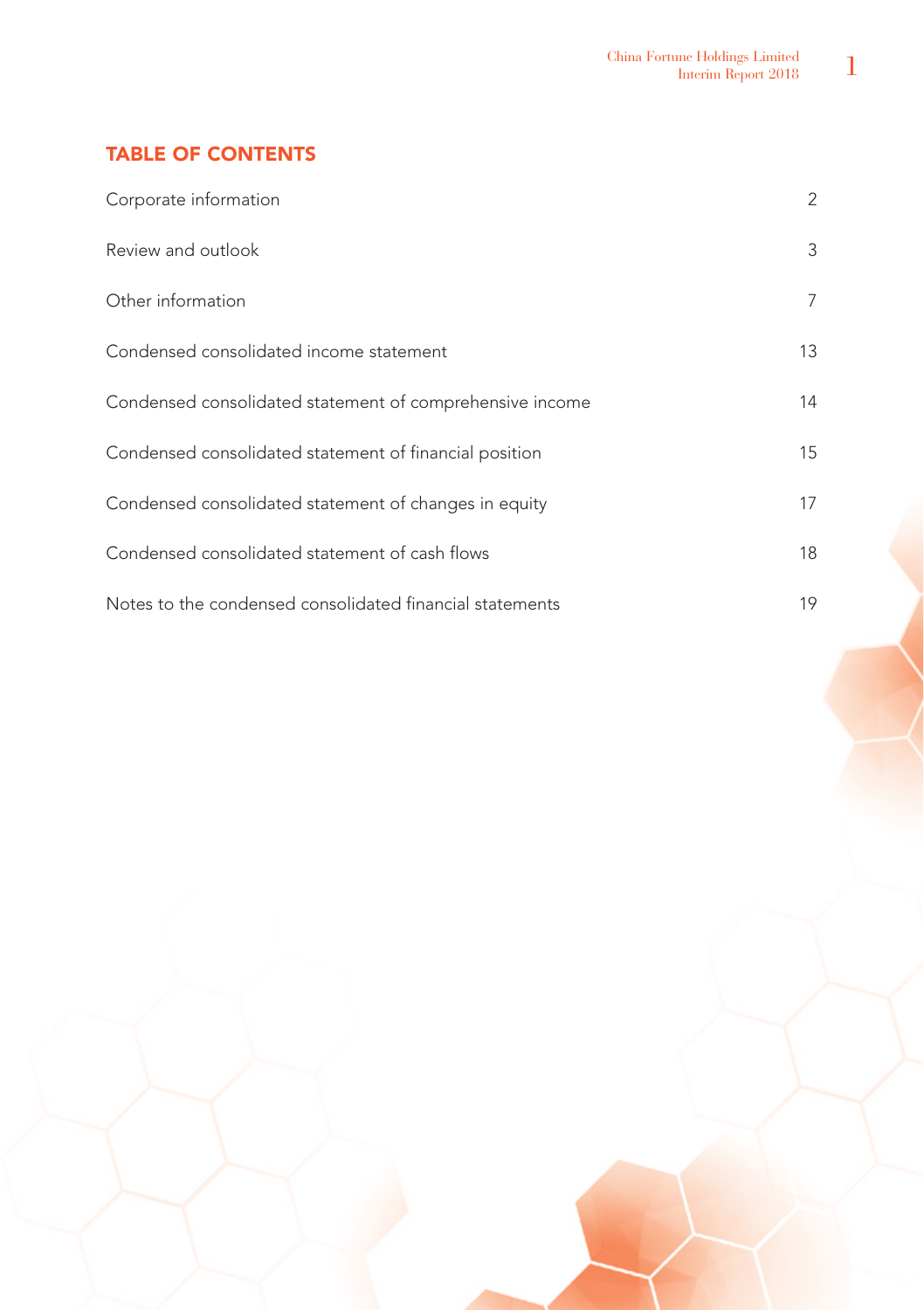# TABLE OF CONTENTS

| Corporate information                                    | 2  |
|----------------------------------------------------------|----|
| Review and outlook                                       | 3  |
| Other information                                        | 7  |
| Condensed consolidated income statement                  | 13 |
| Condensed consolidated statement of comprehensive income | 14 |
| Condensed consolidated statement of financial position   | 15 |
| Condensed consolidated statement of changes in equity    | 17 |
| Condensed consolidated statement of cash flows           | 18 |
| Notes to the condensed consolidated financial statements | 19 |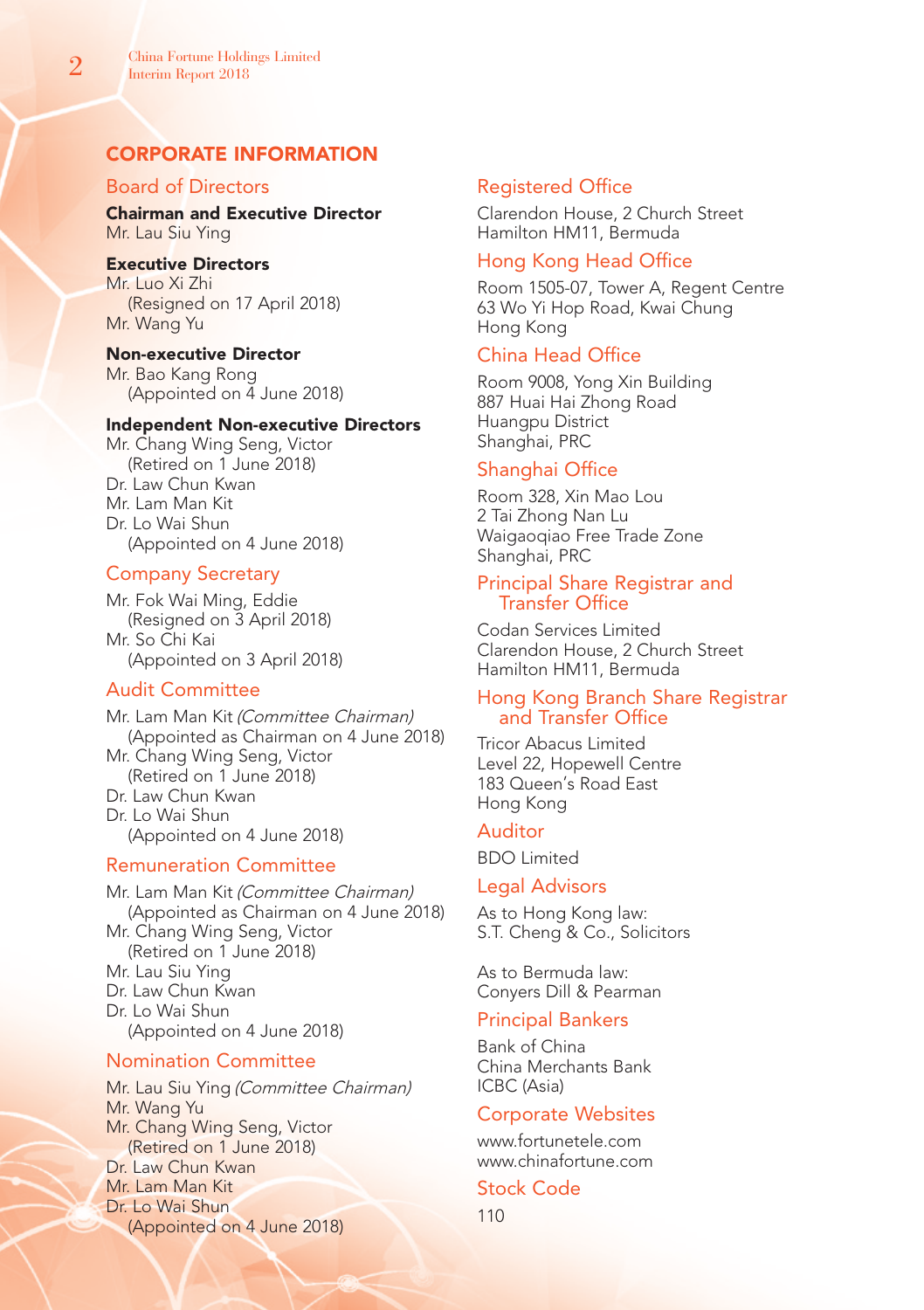# CORPORATE INFORMATION

# Board of Directors

Chairman and Executive Director Mr. Lau Siu Ying

### Executive Directors

Mr. Luo Xi Zhi (Resigned on 17 April 2018) Mr. Wang Yu

### Non-executive Director

Mr. Bao Kang Rong (Appointed on 4 June 2018)

### Independent Non-executive Directors

Mr. Chang Wing Seng, Victor (Retired on 1 June 2018) Dr. Law Chun Kwan Mr. Lam Man Kit Dr. Lo Wai Shun (Appointed on 4 June 2018)

# Company Secretary

Mr. Fok Wai Ming, Eddie (Resigned on 3 April 2018) Mr. So Chi Kai (Appointed on 3 April 2018)

# Audit Committee

Mr. Lam Man Kit (Committee Chairman) (Appointed as Chairman on 4 June 2018) Mr. Chang Wing Seng, Victor (Retired on 1 June 2018) Dr. Law Chun Kwan Dr. Lo Wai Shun (Appointed on 4 June 2018)

# Remuneration Committee

Mr. Lam Man Kit (Committee Chairman) (Appointed as Chairman on 4 June 2018) Mr. Chang Wing Seng, Victor (Retired on 1 June 2018) Mr. Lau Siu Ying Dr. Law Chun Kwan Dr. Lo Wai Shun (Appointed on 4 June 2018)

# Nomination Committee

Mr. Lau Siu Ying (Committee Chairman) Mr. Wang Yu Mr. Chang Wing Seng, Victor (Retired on 1 June 2018) Dr. Law Chun Kwan Mr. Lam Man Kit Dr. Lo Wai Shun (Appointed on 4 June 2018)

# Registered Office

Clarendon House, 2 Church Street Hamilton HM11, Bermuda

# Hong Kong Head Office

Room 1505-07, Tower A, Regent Centre 63 Wo Yi Hop Road, Kwai Chung Hong Kong

# China Head Office

Room 9008, Yong Xin Building 887 Huai Hai Zhong Road Huangpu District Shanghai, PRC

# Shanghai Office

Room 328, Xin Mao Lou 2 Tai Zhong Nan Lu Waigaoqiao Free Trade Zone Shanghai, PRC

# Principal Share Registrar and Transfer Office

Codan Services Limited Clarendon House, 2 Church Street Hamilton HM11, Bermuda

# Hong Kong Branch Share Registrar and Transfer Office

Tricor Abacus Limited Level 22, Hopewell Centre 183 Queen's Road East Hong Kong

# Auditor

BDO Limited

### Legal Advisors

As to Hong Kong law: S.T. Cheng & Co., Solicitors

As to Bermuda law: Conyers Dill & Pearman

### Principal Bankers

Bank of China China Merchants Bank ICBC (Asia)

### Corporate Websites

www.fortunetele.com www.chinafortune.com

# Stock Code

110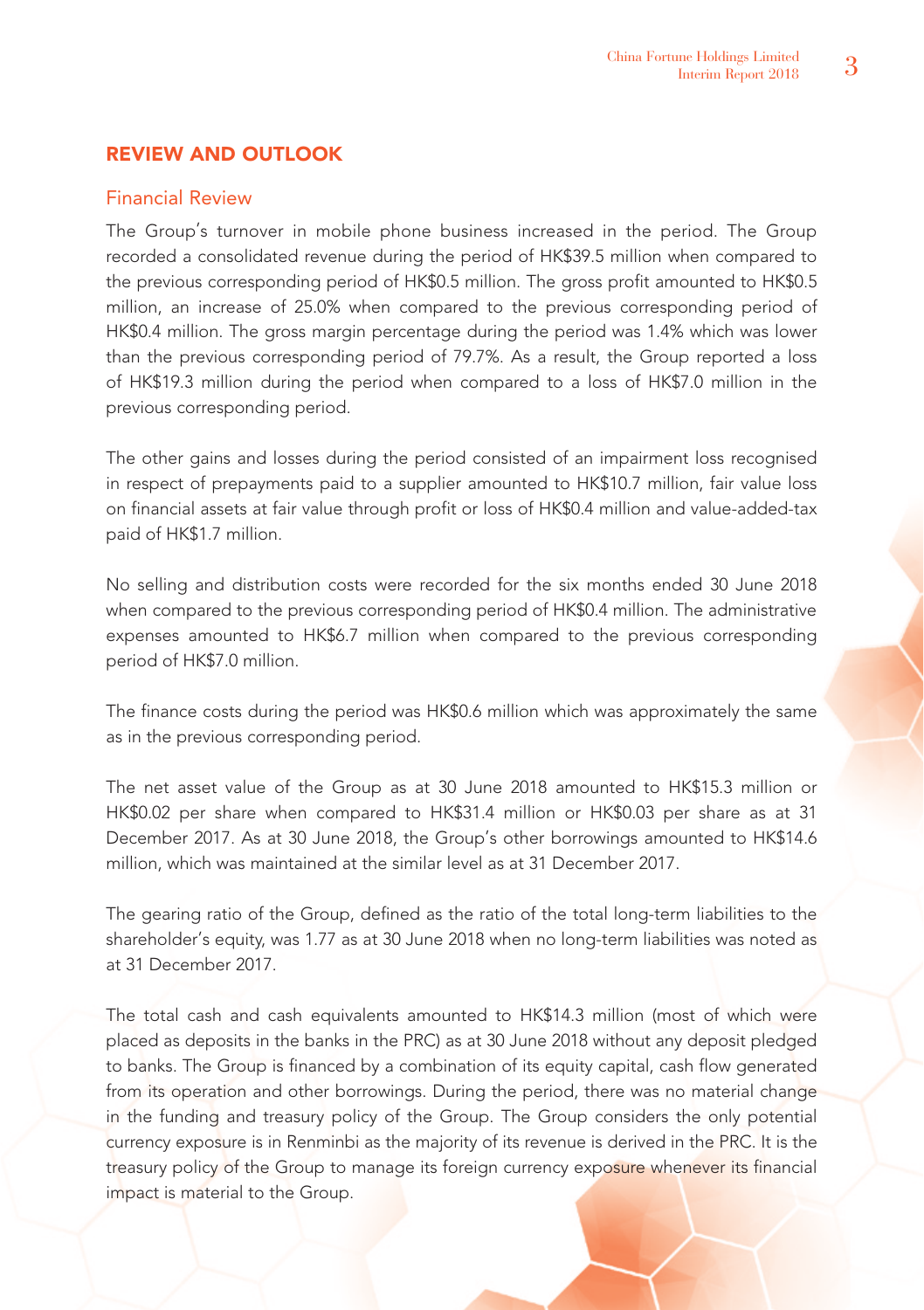# REVIEW AND OUTLOOK

# Financial Review

The Group's turnover in mobile phone business increased in the period. The Group recorded a consolidated revenue during the period of HK\$39.5 million when compared to the previous corresponding period of HK\$0.5 million. The gross profit amounted to HK\$0.5 million, an increase of 25.0% when compared to the previous corresponding period of HK\$0.4 million. The gross margin percentage during the period was 1.4% which was lower than the previous corresponding period of 79.7%. As a result, the Group reported a loss of HK\$19.3 million during the period when compared to a loss of HK\$7.0 million in the previous corresponding period.

The other gains and losses during the period consisted of an impairment loss recognised in respect of prepayments paid to a supplier amounted to HK\$10.7 million, fair value loss on financial assets at fair value through profit or loss of HK\$0.4 million and value-added-tax paid of HK\$1.7 million.

No selling and distribution costs were recorded for the six months ended 30 June 2018 when compared to the previous corresponding period of HK\$0.4 million. The administrative expenses amounted to HK\$6.7 million when compared to the previous corresponding period of HK\$7.0 million.

The finance costs during the period was HK\$0.6 million which was approximately the same as in the previous corresponding period.

The net asset value of the Group as at 30 June 2018 amounted to HK\$15.3 million or HK\$0.02 per share when compared to HK\$31.4 million or HK\$0.03 per share as at 31 December 2017. As at 30 June 2018, the Group's other borrowings amounted to HK\$14.6 million, which was maintained at the similar level as at 31 December 2017.

The gearing ratio of the Group, defined as the ratio of the total long-term liabilities to the shareholder's equity, was 1.77 as at 30 June 2018 when no long-term liabilities was noted as at 31 December 2017.

The total cash and cash equivalents amounted to HK\$14.3 million (most of which were placed as deposits in the banks in the PRC) as at 30 June 2018 without any deposit pledged to banks. The Group is financed by a combination of its equity capital, cash flow generated from its operation and other borrowings. During the period, there was no material change in the funding and treasury policy of the Group. The Group considers the only potential currency exposure is in Renminbi as the majority of its revenue is derived in the PRC. It is the treasury policy of the Group to manage its foreign currency exposure whenever its financial impact is material to the Group.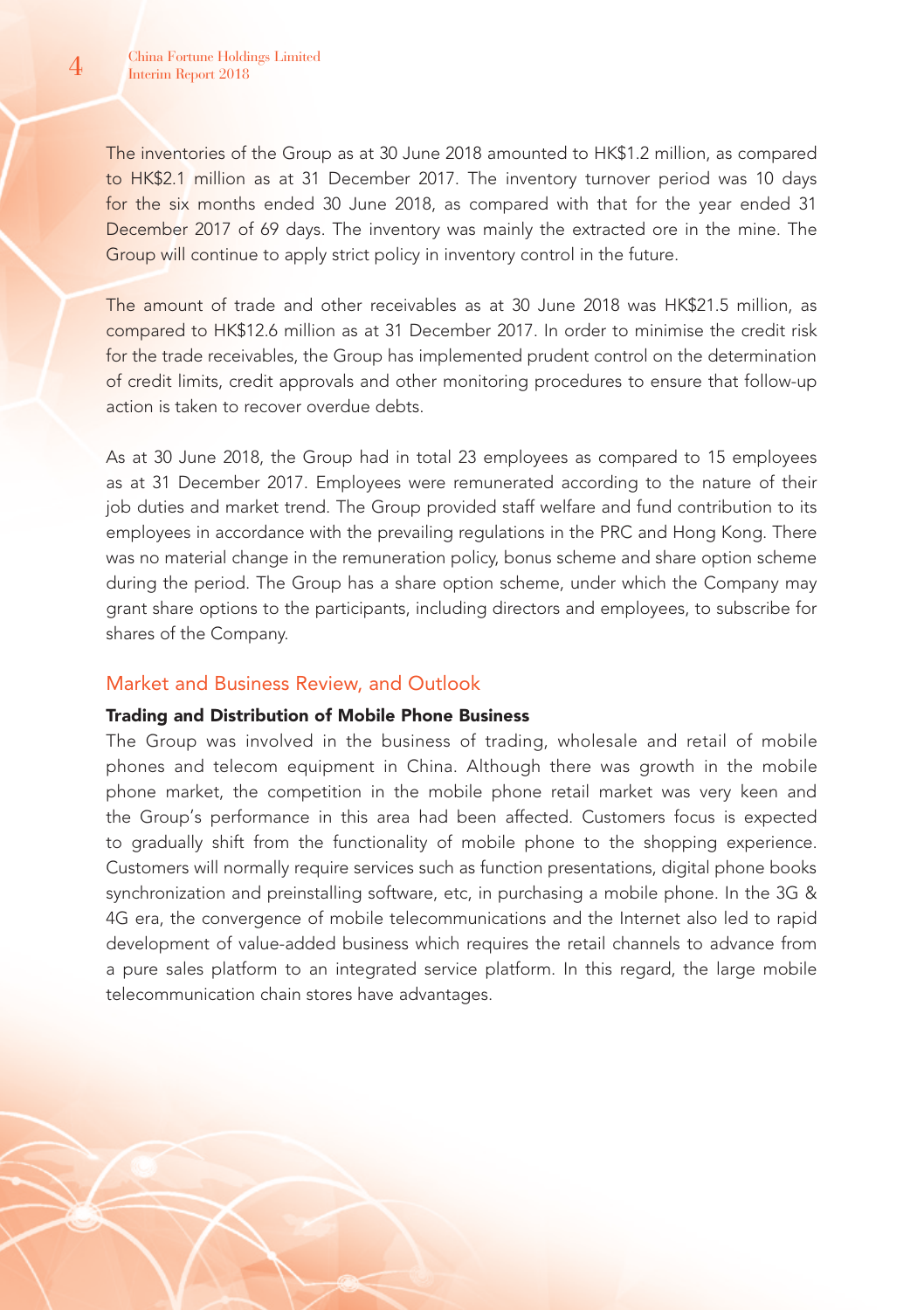The inventories of the Group as at 30 June 2018 amounted to HK\$1.2 million, as compared to HK\$2.1 million as at 31 December 2017. The inventory turnover period was 10 days for the six months ended 30 June 2018, as compared with that for the year ended 31 December 2017 of 69 days. The inventory was mainly the extracted ore in the mine. The Group will continue to apply strict policy in inventory control in the future.

The amount of trade and other receivables as at 30 June 2018 was HK\$21.5 million, as compared to HK\$12.6 million as at 31 December 2017. In order to minimise the credit risk for the trade receivables, the Group has implemented prudent control on the determination of credit limits, credit approvals and other monitoring procedures to ensure that follow-up action is taken to recover overdue debts.

As at 30 June 2018, the Group had in total 23 employees as compared to 15 employees as at 31 December 2017. Employees were remunerated according to the nature of their job duties and market trend. The Group provided staff welfare and fund contribution to its employees in accordance with the prevailing regulations in the PRC and Hong Kong. There was no material change in the remuneration policy, bonus scheme and share option scheme during the period. The Group has a share option scheme, under which the Company may grant share options to the participants, including directors and employees, to subscribe for shares of the Company.

# Market and Business Review, and Outlook

### Trading and Distribution of Mobile Phone Business

The Group was involved in the business of trading, wholesale and retail of mobile phones and telecom equipment in China. Although there was growth in the mobile phone market, the competition in the mobile phone retail market was very keen and the Group's performance in this area had been affected. Customers focus is expected to gradually shift from the functionality of mobile phone to the shopping experience. Customers will normally require services such as function presentations, digital phone books synchronization and preinstalling software, etc, in purchasing a mobile phone. In the 3G & 4G era, the convergence of mobile telecommunications and the Internet also led to rapid development of value-added business which requires the retail channels to advance from a pure sales platform to an integrated service platform. In this regard, the large mobile telecommunication chain stores have advantages.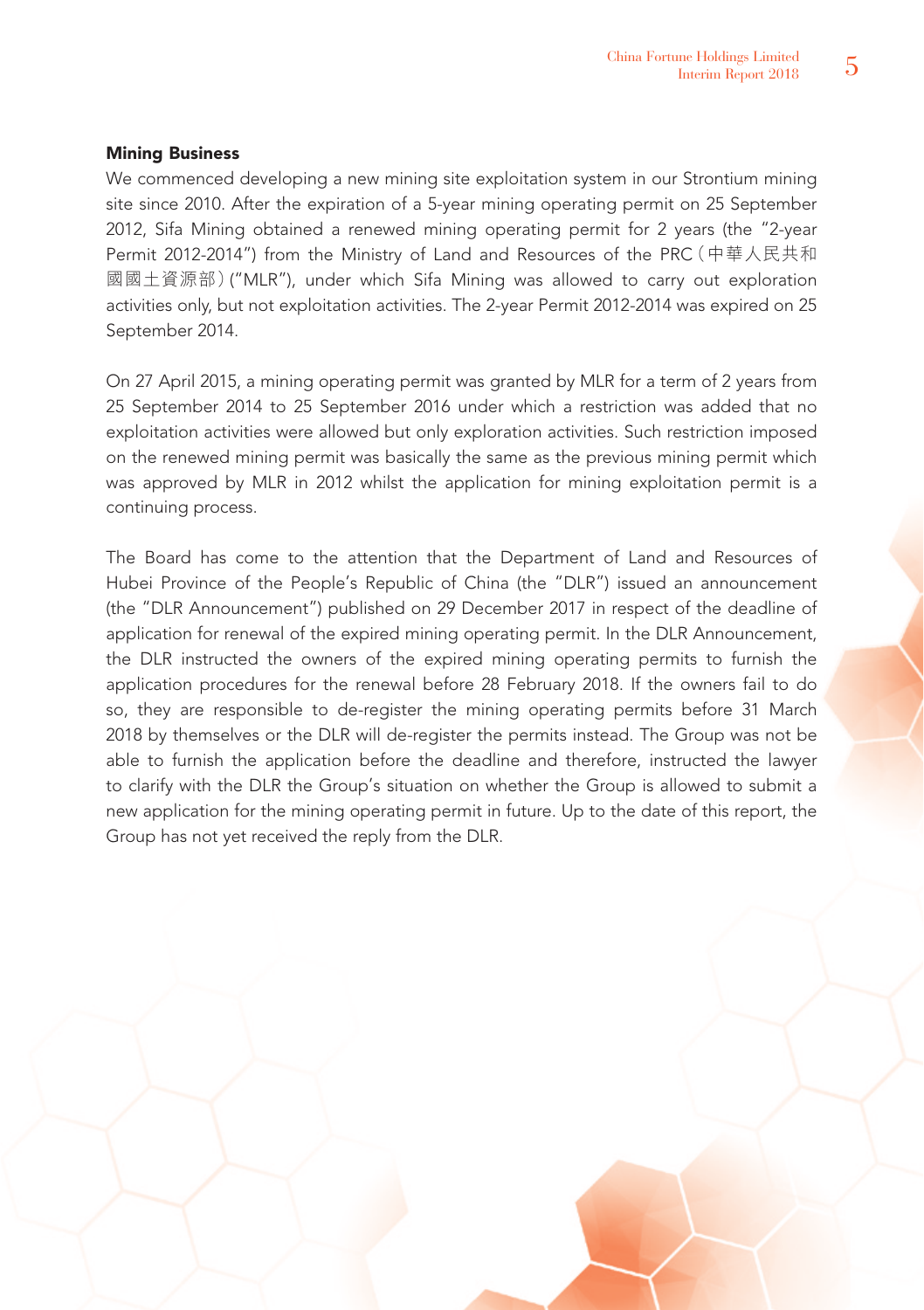# Mining Business

We commenced developing a new mining site exploitation system in our Strontium mining site since 2010. After the expiration of a 5-year mining operating permit on 25 September 2012, Sifa Mining obtained a renewed mining operating permit for 2 years (the "2-year Permit 2012-2014") from the Ministry of Land and Resources of the PRC(中華人民共和 國國土資源部)("MLR"), under which Sifa Mining was allowed to carry out exploration activities only, but not exploitation activities. The 2-year Permit 2012-2014 was expired on 25 September 2014.

On 27 April 2015, a mining operating permit was granted by MLR for a term of 2 years from 25 September 2014 to 25 September 2016 under which a restriction was added that no exploitation activities were allowed but only exploration activities. Such restriction imposed on the renewed mining permit was basically the same as the previous mining permit which was approved by MLR in 2012 whilst the application for mining exploitation permit is a continuing process.

The Board has come to the attention that the Department of Land and Resources of Hubei Province of the People's Republic of China (the "DLR") issued an announcement (the "DLR Announcement") published on 29 December 2017 in respect of the deadline of application for renewal of the expired mining operating permit. In the DLR Announcement, the DLR instructed the owners of the expired mining operating permits to furnish the application procedures for the renewal before 28 February 2018. If the owners fail to do so, they are responsible to de-register the mining operating permits before 31 March 2018 by themselves or the DLR will de-register the permits instead. The Group was not be able to furnish the application before the deadline and therefore, instructed the lawyer to clarify with the DLR the Group's situation on whether the Group is allowed to submit a new application for the mining operating permit in future. Up to the date of this report, the Group has not yet received the reply from the DLR.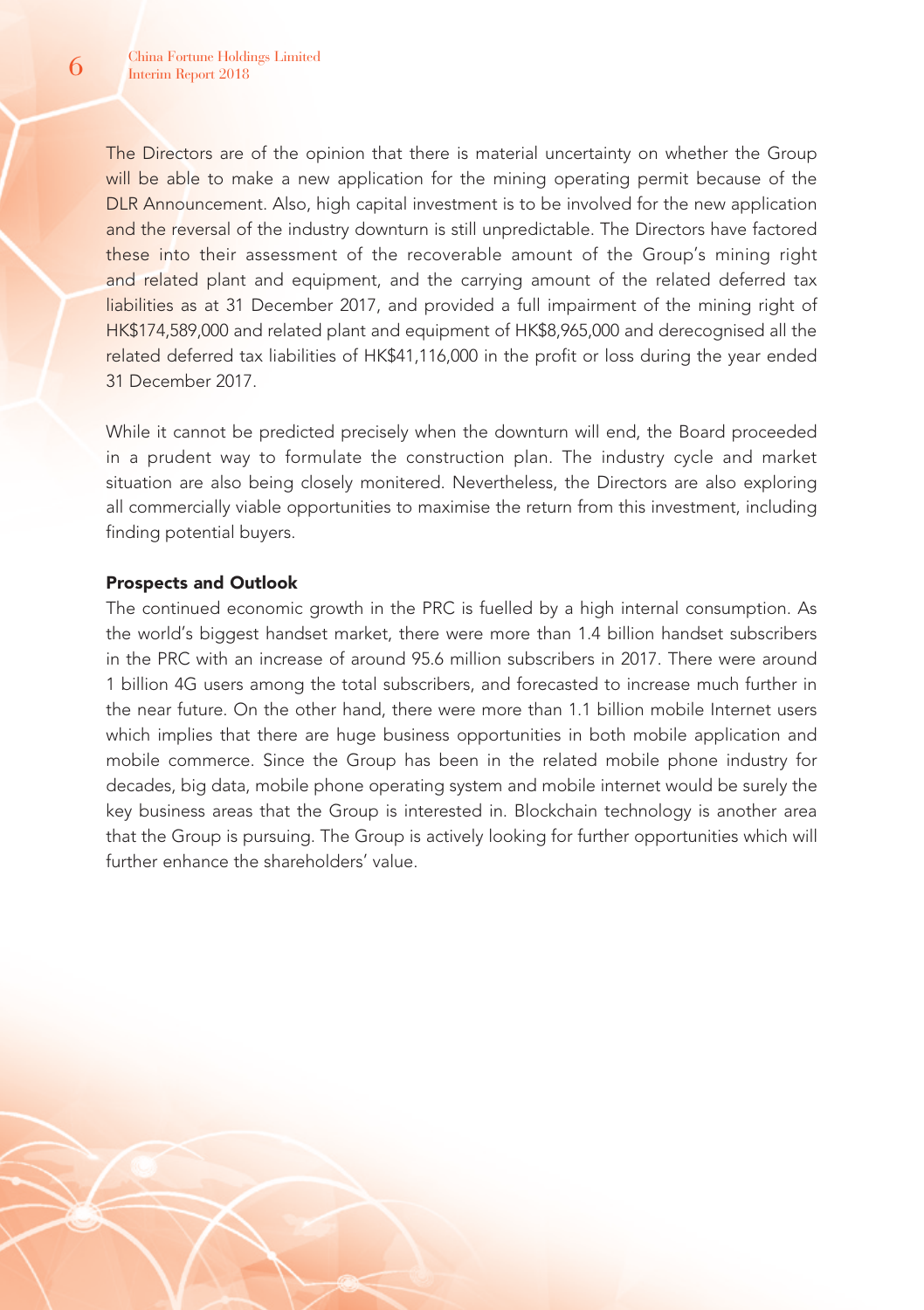The Directors are of the opinion that there is material uncertainty on whether the Group will be able to make a new application for the mining operating permit because of the DLR Announcement. Also, high capital investment is to be involved for the new application and the reversal of the industry downturn is still unpredictable. The Directors have factored these into their assessment of the recoverable amount of the Group's mining right and related plant and equipment, and the carrying amount of the related deferred tax liabilities as at 31 December 2017, and provided a full impairment of the mining right of HK\$174,589,000 and related plant and equipment of HK\$8,965,000 and derecognised all the related deferred tax liabilities of HK\$41,116,000 in the profit or loss during the year ended 31 December 2017.

While it cannot be predicted precisely when the downturn will end, the Board proceeded in a prudent way to formulate the construction plan. The industry cycle and market situation are also being closely monitered. Nevertheless, the Directors are also exploring all commercially viable opportunities to maximise the return from this investment, including finding potential buyers.

# Prospects and Outlook

The continued economic growth in the PRC is fuelled by a high internal consumption. As the world's biggest handset market, there were more than 1.4 billion handset subscribers in the PRC with an increase of around 95.6 million subscribers in 2017. There were around 1 billion 4G users among the total subscribers, and forecasted to increase much further in the near future. On the other hand, there were more than 1.1 billion mobile Internet users which implies that there are huge business opportunities in both mobile application and mobile commerce. Since the Group has been in the related mobile phone industry for decades, big data, mobile phone operating system and mobile internet would be surely the key business areas that the Group is interested in. Blockchain technology is another area that the Group is pursuing. The Group is actively looking for further opportunities which will further enhance the shareholders' value.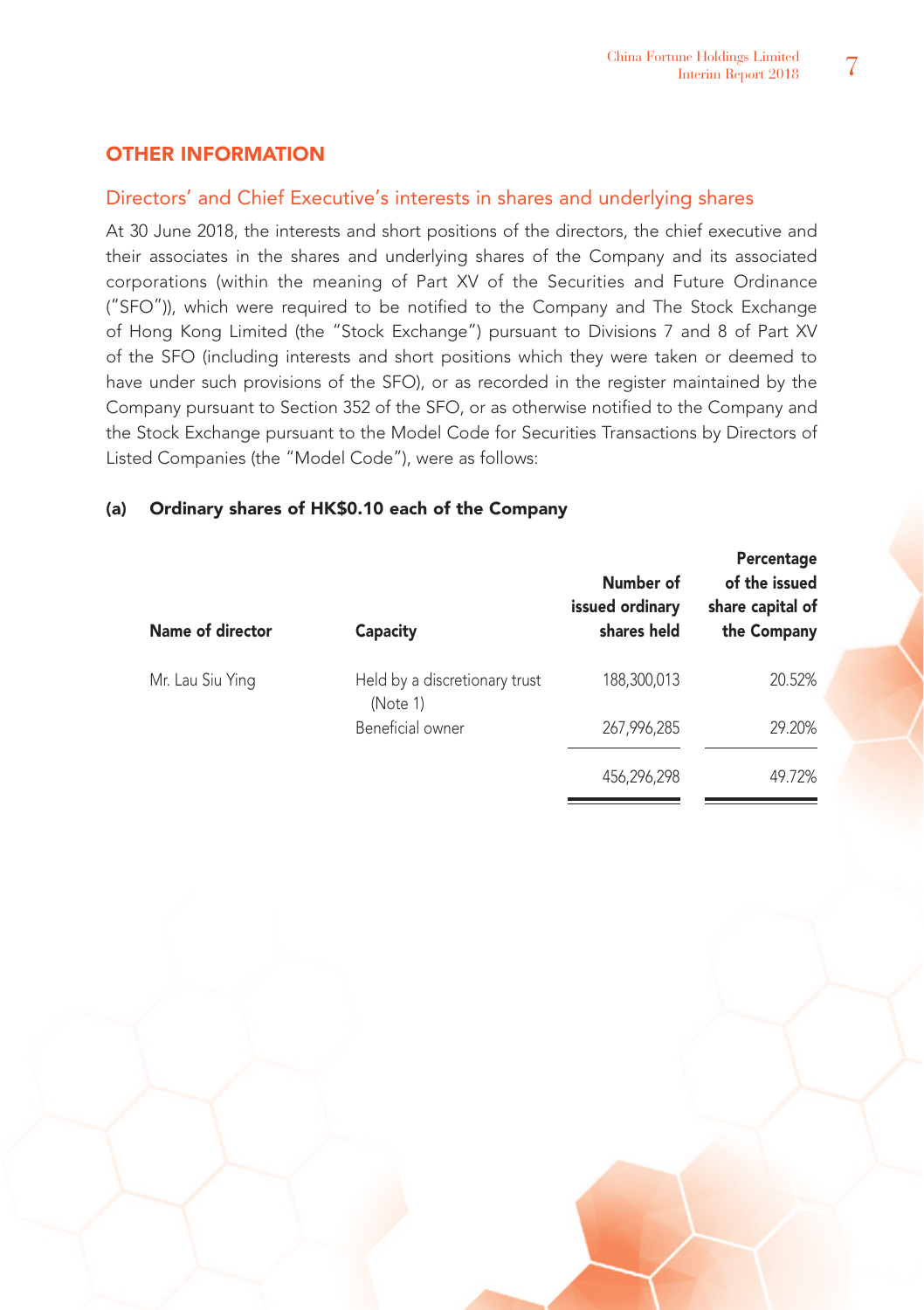# OTHER INFORMATION

# Directors' and Chief Executive's interests in shares and underlying shares

At 30 June 2018, the interests and short positions of the directors, the chief executive and their associates in the shares and underlying shares of the Company and its associated corporations (within the meaning of Part XV of the Securities and Future Ordinance ("SFO")), which were required to be notified to the Company and The Stock Exchange of Hong Kong Limited (the "Stock Exchange") pursuant to Divisions 7 and 8 of Part XV of the SFO (including interests and short positions which they were taken or deemed to have under such provisions of the SFO), or as recorded in the register maintained by the Company pursuant to Section 352 of the SFO, or as otherwise notified to the Company and the Stock Exchange pursuant to the Model Code for Securities Transactions by Directors of Listed Companies (the "Model Code"), were as follows:

# (a) Ordinary shares of HK\$0.10 each of the Company

| Name of director | Capacity                                  | Number of<br>issued ordinary<br>shares held | Percentage<br>of the issued<br>share capital of<br>the Company |
|------------------|-------------------------------------------|---------------------------------------------|----------------------------------------------------------------|
| Mr. Lau Siu Ying | Held by a discretionary trust<br>(Note 1) | 188,300,013                                 | 20.52%                                                         |
|                  | Beneficial owner                          | 267,996,285                                 | 29.20%                                                         |
|                  |                                           | 456,296,298                                 | 49.72%                                                         |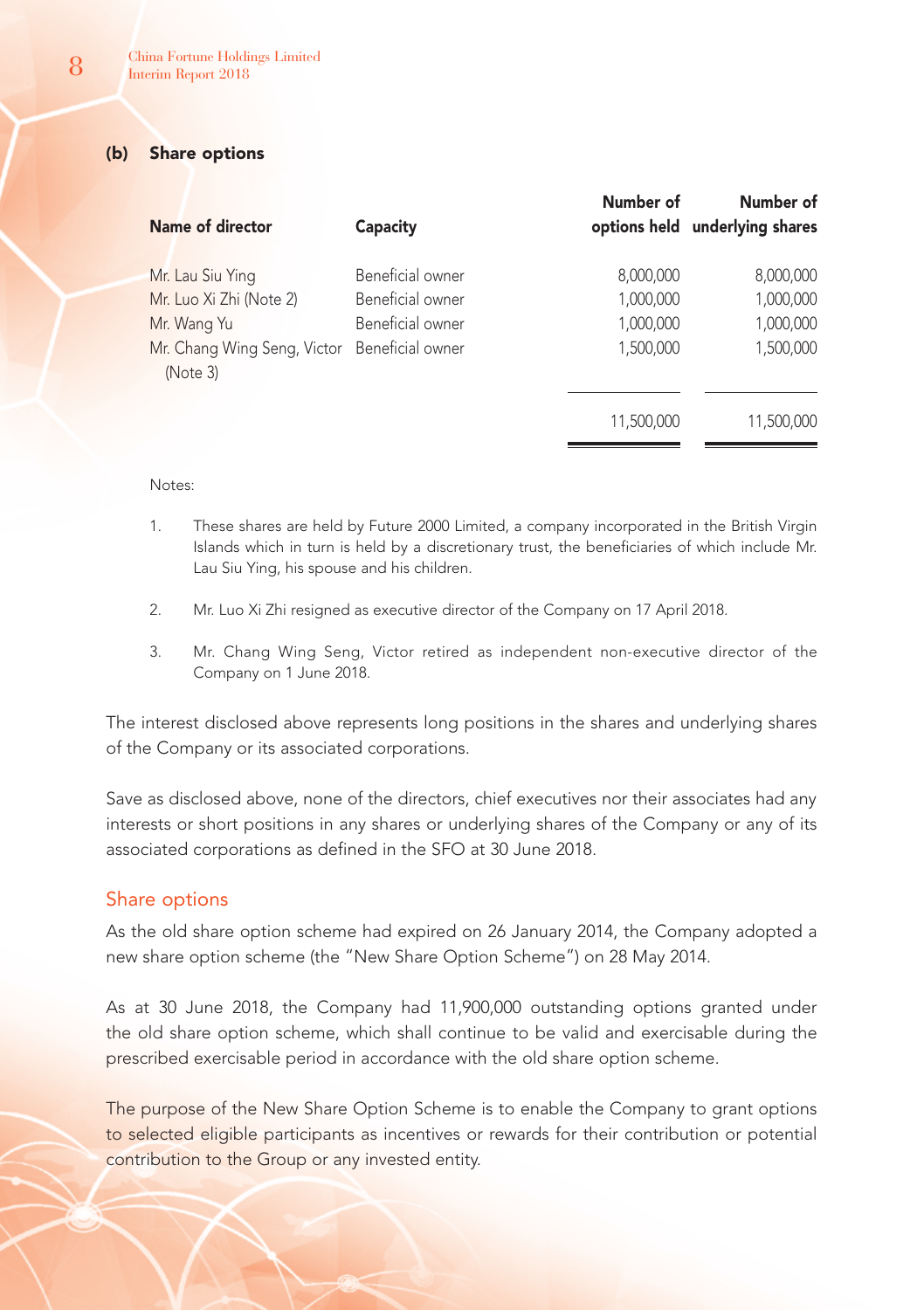# (b) Share options

| Name of director                                                                                                       | Capacity                                                 | Number of                                        | Number of<br>options held underlying shares      |
|------------------------------------------------------------------------------------------------------------------------|----------------------------------------------------------|--------------------------------------------------|--------------------------------------------------|
| Mr. Lau Siu Ying<br>Mr. Luo Xi Zhi (Note 2)<br>Mr. Wang Yu<br>Mr. Chang Wing Seng, Victor Beneficial owner<br>(Note 3) | Beneficial owner<br>Beneficial owner<br>Beneficial owner | 8,000,000<br>1,000,000<br>1,000,000<br>1.500.000 | 8,000,000<br>1,000,000<br>1,000,000<br>1,500,000 |
|                                                                                                                        |                                                          | 11,500,000                                       | 11,500,000                                       |

Notes:

- 1. These shares are held by Future 2000 Limited, a company incorporated in the British Virgin Islands which in turn is held by a discretionary trust, the beneficiaries of which include Mr. Lau Siu Ying, his spouse and his children.
- 2. Mr. Luo Xi Zhi resigned as executive director of the Company on 17 April 2018.
- 3. Mr. Chang Wing Seng, Victor retired as independent non-executive director of the Company on 1 June 2018.

The interest disclosed above represents long positions in the shares and underlying shares of the Company or its associated corporations.

Save as disclosed above, none of the directors, chief executives nor their associates had any interests or short positions in any shares or underlying shares of the Company or any of its associated corporations as defined in the SFO at 30 June 2018.

# Share options

As the old share option scheme had expired on 26 January 2014, the Company adopted a new share option scheme (the "New Share Option Scheme") on 28 May 2014.

As at 30 June 2018, the Company had 11,900,000 outstanding options granted under the old share option scheme, which shall continue to be valid and exercisable during the prescribed exercisable period in accordance with the old share option scheme.

The purpose of the New Share Option Scheme is to enable the Company to grant options to selected eligible participants as incentives or rewards for their contribution or potential contribution to the Group or any invested entity.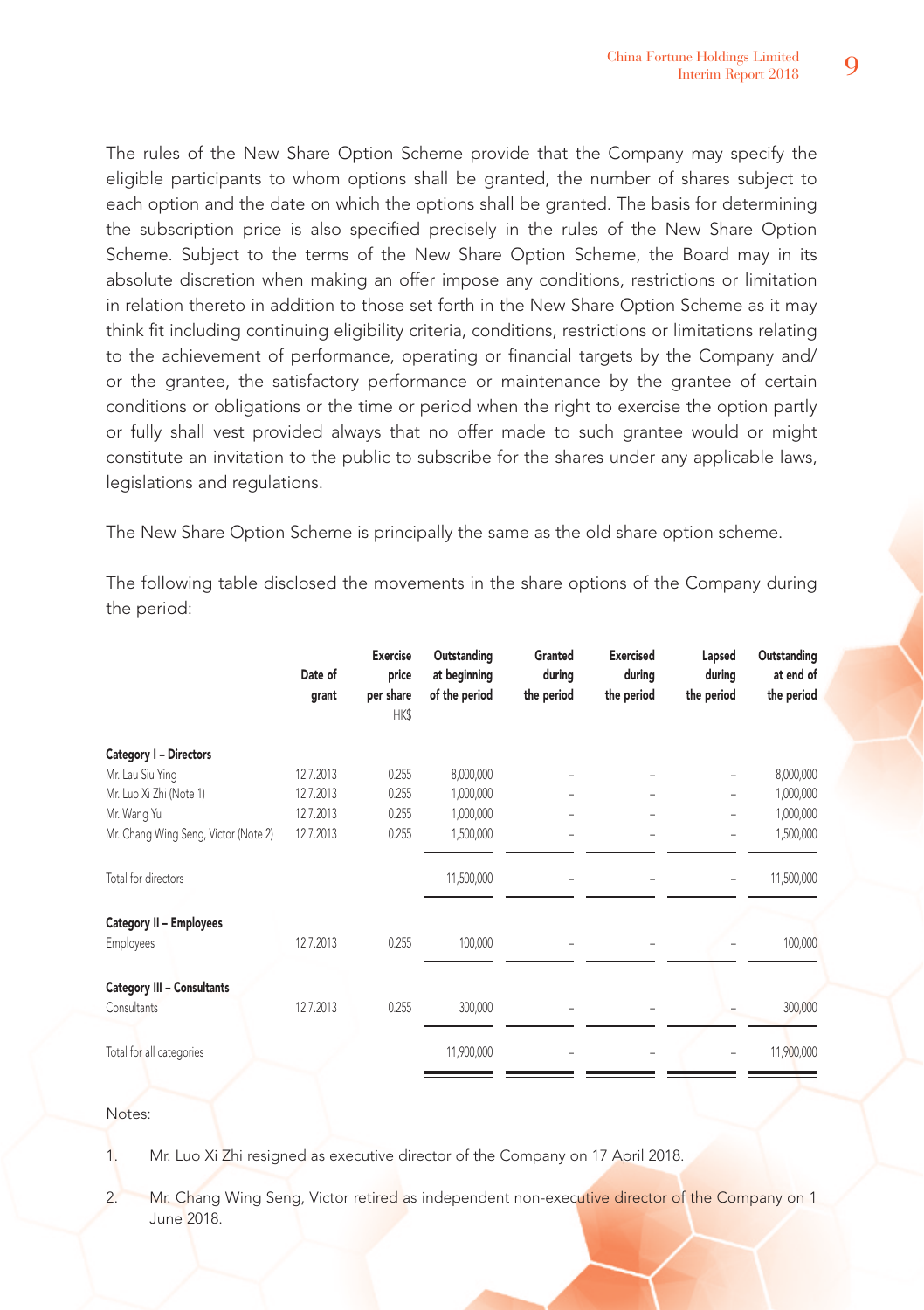The rules of the New Share Option Scheme provide that the Company may specify the eligible participants to whom options shall be granted, the number of shares subject to each option and the date on which the options shall be granted. The basis for determining the subscription price is also specified precisely in the rules of the New Share Option Scheme. Subject to the terms of the New Share Option Scheme, the Board may in its absolute discretion when making an offer impose any conditions, restrictions or limitation in relation thereto in addition to those set forth in the New Share Option Scheme as it may think fit including continuing eligibility criteria, conditions, restrictions or limitations relating to the achievement of performance, operating or financial targets by the Company and/ or the grantee, the satisfactory performance or maintenance by the grantee of certain conditions or obligations or the time or period when the right to exercise the option partly or fully shall vest provided always that no offer made to such grantee would or might constitute an invitation to the public to subscribe for the shares under any applicable laws, legislations and regulations.

The New Share Option Scheme is principally the same as the old share option scheme.

The following table disclosed the movements in the share options of the Company during the period:

|                                      | Date of<br>grant | <b>Exercise</b><br>price<br>per share<br>HK\$ | Outstanding<br>at beginning<br>of the period | Granted<br>during<br>the period | <b>Exercised</b><br>during<br>the period | Lapsed<br>during<br>the period | Outstanding<br>at end of<br>the period |
|--------------------------------------|------------------|-----------------------------------------------|----------------------------------------------|---------------------------------|------------------------------------------|--------------------------------|----------------------------------------|
| Category I - Directors               |                  |                                               |                                              |                                 |                                          |                                |                                        |
| Mr. Lau Siu Ying                     | 12.7.2013        | 0.255                                         | 8,000,000                                    |                                 |                                          | $\overline{\phantom{a}}$       | 8,000,000                              |
| Mr. Luo Xi Zhi (Note 1)              | 12.7.2013        | 0.255                                         | 1,000,000                                    | -                               | ۰                                        | $\overline{\phantom{a}}$       | 1,000,000                              |
| Mr. Wang Yu                          | 12.7.2013        | 0.255                                         | 1,000,000                                    |                                 |                                          | $\overline{\phantom{0}}$       | 1,000,000                              |
| Mr. Chang Wing Seng, Victor (Note 2) | 12.7.2013        | 0.255                                         | 1,500,000                                    |                                 |                                          |                                | 1,500,000                              |
| Total for directors                  |                  |                                               | 11,500,000                                   |                                 |                                          |                                | 11,500,000                             |
| Category II - Employees              |                  |                                               |                                              |                                 |                                          |                                |                                        |
| Employees                            | 12.7.2013        | 0.255                                         | 100,000                                      |                                 |                                          |                                | 100,000                                |
| <b>Category III - Consultants</b>    |                  |                                               |                                              |                                 |                                          |                                |                                        |
| Consultants                          | 12.7.2013        | 0.255                                         | 300,000                                      |                                 |                                          |                                | 300,000                                |
| Total for all categories             |                  |                                               | 11,900,000                                   |                                 |                                          |                                | 11,900,000                             |
|                                      |                  |                                               |                                              |                                 |                                          |                                |                                        |

# Notes:

1. Mr. Luo Xi Zhi resigned as executive director of the Company on 17 April 2018.

2. Mr. Chang Wing Seng, Victor retired as independent non-executive director of the Company on 1 June 2018.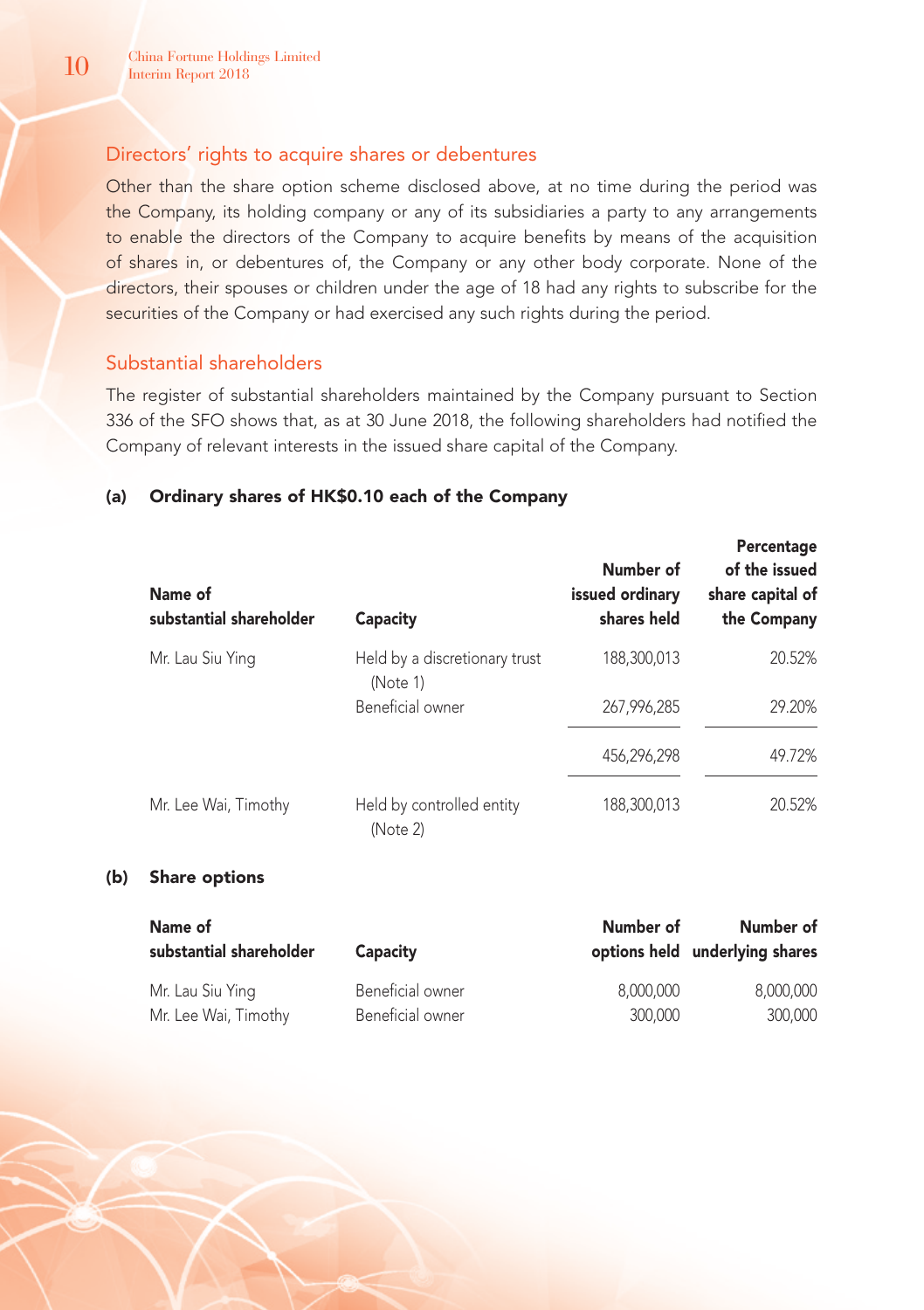# Directors' rights to acquire shares or debentures

Other than the share option scheme disclosed above, at no time during the period was the Company, its holding company or any of its subsidiaries a party to any arrangements to enable the directors of the Company to acquire benefits by means of the acquisition of shares in, or debentures of, the Company or any other body corporate. None of the directors, their spouses or children under the age of 18 had any rights to subscribe for the securities of the Company or had exercised any such rights during the period.

# Substantial shareholders

The register of substantial shareholders maintained by the Company pursuant to Section 336 of the SFO shows that, as at 30 June 2018, the following shareholders had notified the Company of relevant interests in the issued share capital of the Company.

# (a) Ordinary shares of HK\$0.10 each of the Company

| Name of<br>substantial shareholder | Capacity                                  | Number of<br>issued ordinary<br>shares held | Percentage<br>of the issued<br>share capital of<br>the Company |
|------------------------------------|-------------------------------------------|---------------------------------------------|----------------------------------------------------------------|
| Mr. Lau Siu Ying                   | Held by a discretionary trust<br>(Note 1) | 188.300.013                                 | 20.52%                                                         |
|                                    | Beneficial owner                          | 267.996.285                                 | 29.20%                                                         |
|                                    |                                           | 456,296,298                                 | 49.72%                                                         |
| Mr. Lee Wai, Timothy               | Held by controlled entity<br>(Note 2)     | 188,300,013                                 | 20.52%                                                         |

# (b) Share options

| Name of<br>substantial shareholder | Capacity         | Number of | Number of<br>options held underlying shares |
|------------------------------------|------------------|-----------|---------------------------------------------|
| Mr. Lau Siu Ying                   | Beneficial owner | 8.000.000 | 8.000.000                                   |
| Mr. Lee Wai, Timothy               | Beneficial owner | 300,000   | 300,000                                     |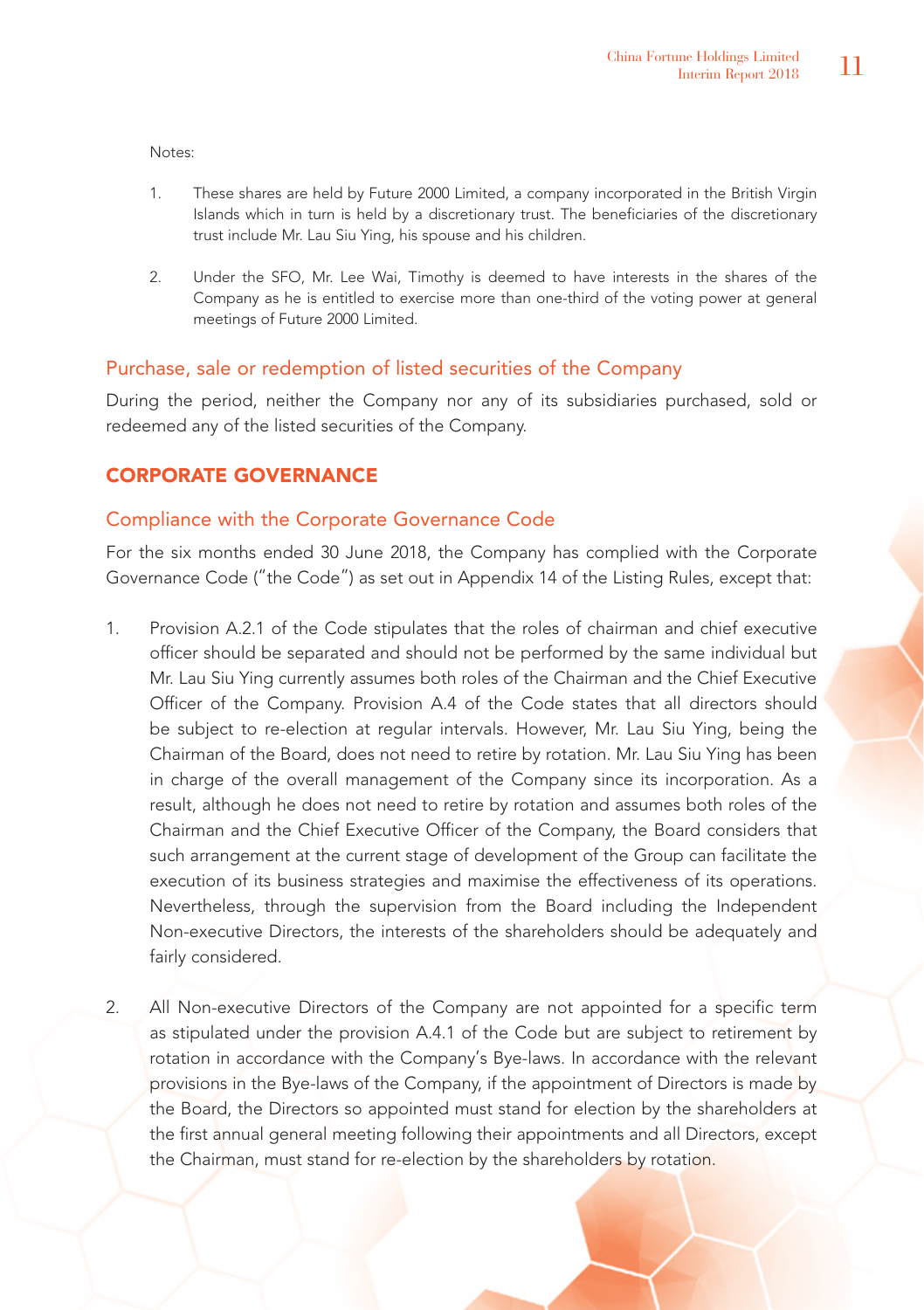Notes:

- 1. These shares are held by Future 2000 Limited, a company incorporated in the British Virgin Islands which in turn is held by a discretionary trust. The beneficiaries of the discretionary trust include Mr. Lau Siu Ying, his spouse and his children.
- 2. Under the SFO, Mr. Lee Wai, Timothy is deemed to have interests in the shares of the Company as he is entitled to exercise more than one-third of the voting power at general meetings of Future 2000 Limited.

# Purchase, sale or redemption of listed securities of the Company

During the period, neither the Company nor any of its subsidiaries purchased, sold or redeemed any of the listed securities of the Company.

# CORPORATE GOVERNANCE

# Compliance with the Corporate Governance Code

For the six months ended 30 June 2018, the Company has complied with the Corporate Governance Code ("the Code") as set out in Appendix 14 of the Listing Rules, except that:

- 1. Provision A.2.1 of the Code stipulates that the roles of chairman and chief executive officer should be separated and should not be performed by the same individual but Mr. Lau Siu Ying currently assumes both roles of the Chairman and the Chief Executive Officer of the Company. Provision A.4 of the Code states that all directors should be subject to re-election at regular intervals. However, Mr. Lau Siu Ying, being the Chairman of the Board, does not need to retire by rotation. Mr. Lau Siu Ying has been in charge of the overall management of the Company since its incorporation. As a result, although he does not need to retire by rotation and assumes both roles of the Chairman and the Chief Executive Officer of the Company, the Board considers that such arrangement at the current stage of development of the Group can facilitate the execution of its business strategies and maximise the effectiveness of its operations. Nevertheless, through the supervision from the Board including the Independent Non-executive Directors, the interests of the shareholders should be adequately and fairly considered.
- 2. All Non-executive Directors of the Company are not appointed for a specific term as stipulated under the provision A.4.1 of the Code but are subject to retirement by rotation in accordance with the Company's Bye-laws. In accordance with the relevant provisions in the Bye-laws of the Company, if the appointment of Directors is made by the Board, the Directors so appointed must stand for election by the shareholders at the first annual general meeting following their appointments and all Directors, except the Chairman, must stand for re-election by the shareholders by rotation.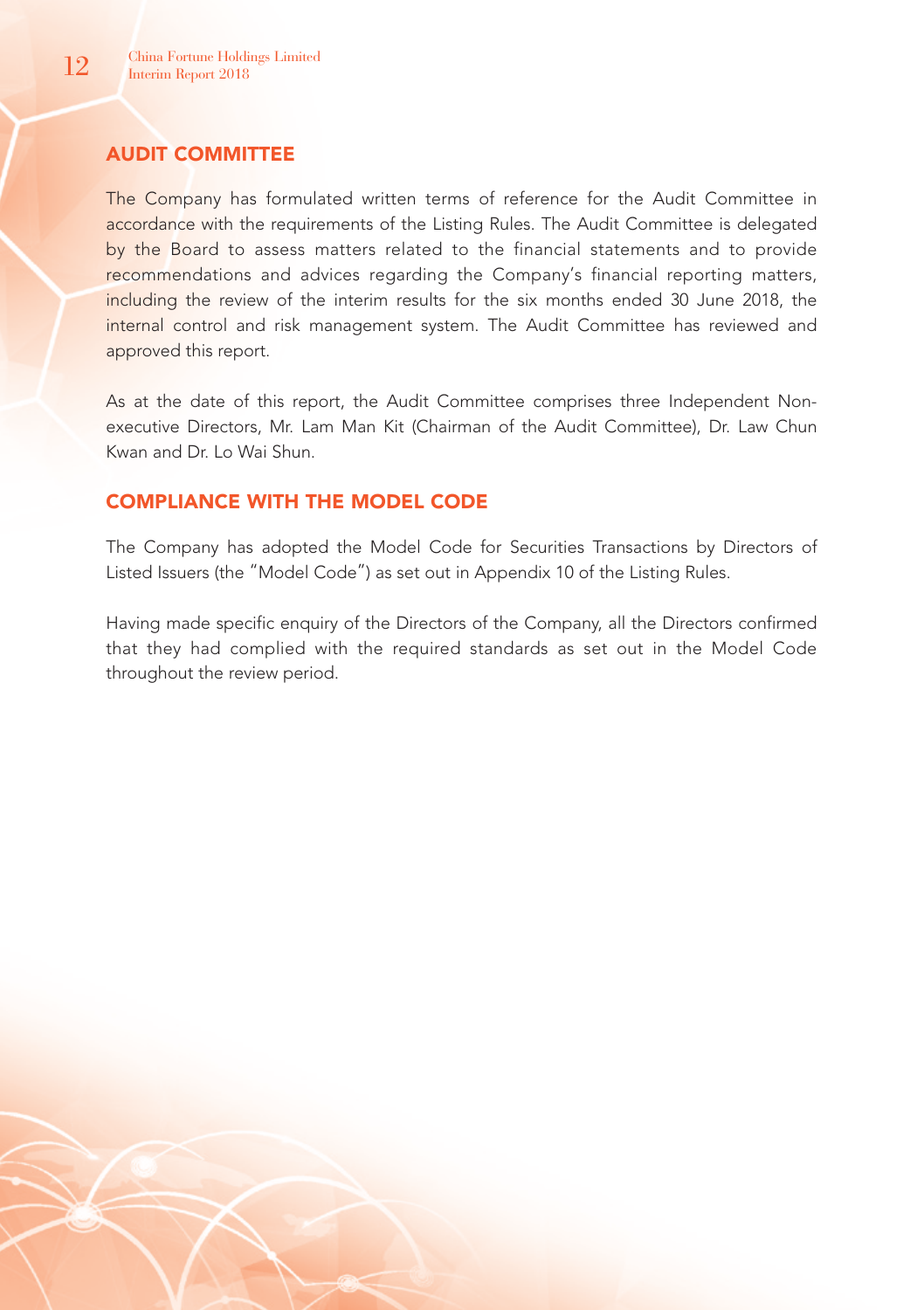# AUDIT COMMITTEE

The Company has formulated written terms of reference for the Audit Committee in accordance with the requirements of the Listing Rules. The Audit Committee is delegated by the Board to assess matters related to the financial statements and to provide recommendations and advices regarding the Company's financial reporting matters, including the review of the interim results for the six months ended 30 June 2018, the internal control and risk management system. The Audit Committee has reviewed and approved this report.

As at the date of this report, the Audit Committee comprises three Independent Nonexecutive Directors, Mr. Lam Man Kit (Chairman of the Audit Committee), Dr. Law Chun Kwan and Dr. Lo Wai Shun.

# COMPLIANCE WITH THE MODEL CODE

The Company has adopted the Model Code for Securities Transactions by Directors of Listed Issuers (the "Model Code") as set out in Appendix 10 of the Listing Rules.

Having made specific enquiry of the Directors of the Company, all the Directors confirmed that they had complied with the required standards as set out in the Model Code throughout the review period.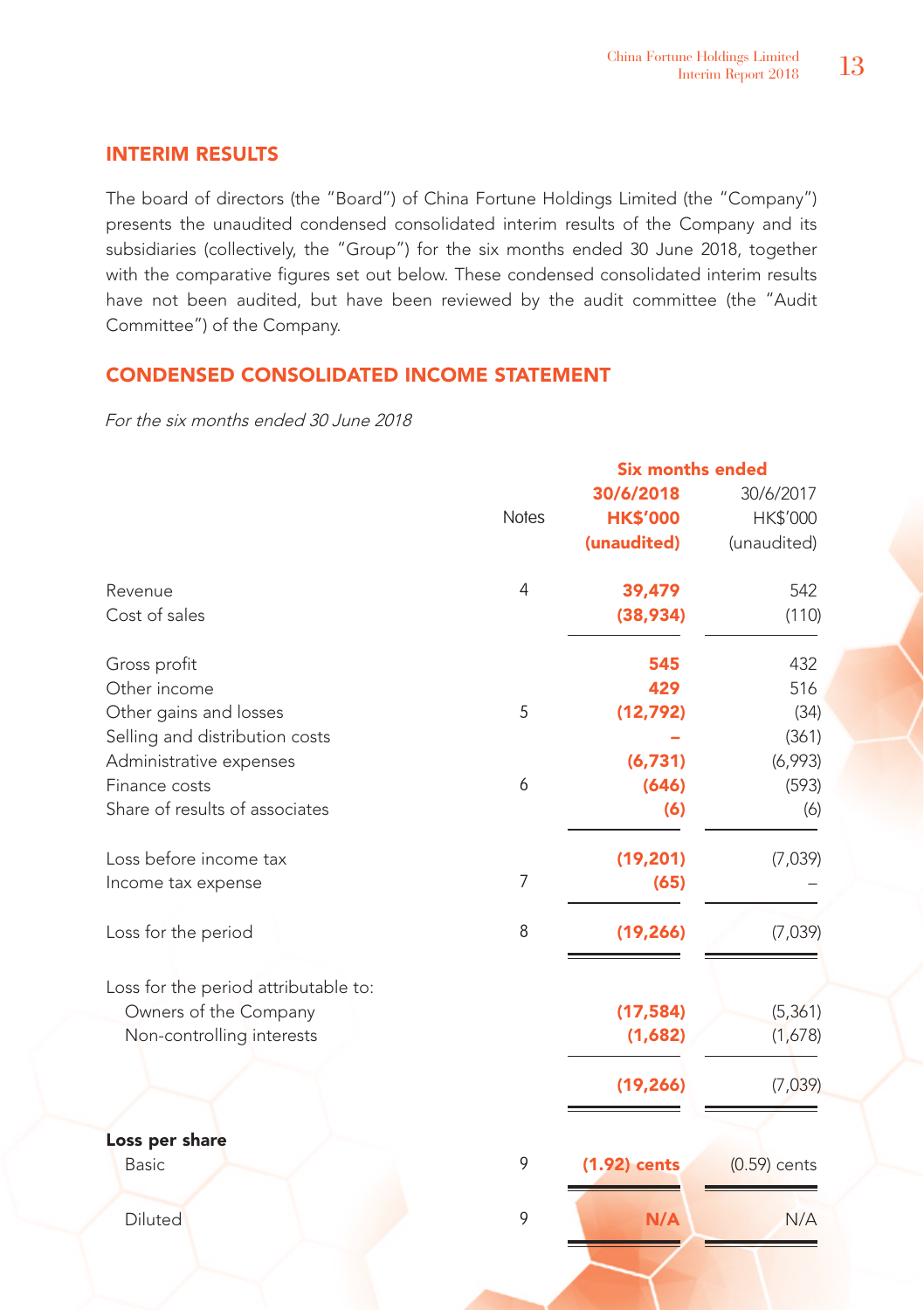# INTERIM RESULTS

The board of directors (the "Board") of China Fortune Holdings Limited (the "Company") presents the unaudited condensed consolidated interim results of the Company and its subsidiaries (collectively, the "Group") for the six months ended 30 June 2018, together with the comparative figures set out below. These condensed consolidated interim results have not been audited, but have been reviewed by the audit committee (the "Audit Committee") of the Company.

# CONDENSED CONSOLIDATED INCOME STATEMENT

For the six months ended 30 June 2018

|                                      |                | Six months ended |                |
|--------------------------------------|----------------|------------------|----------------|
|                                      |                | 30/6/2018        | 30/6/2017      |
|                                      | <b>Notes</b>   | <b>HK\$'000</b>  | HK\$'000       |
|                                      |                | (unaudited)      | (unaudited)    |
| Revenue                              | $\overline{4}$ | 39,479           | 542            |
| Cost of sales                        |                | (38,934)         | (110)          |
| Gross profit                         |                | 545              | 432            |
| Other income                         |                | 429              | 516            |
| Other gains and losses               | 5              | (12, 792)        | (34)           |
| Selling and distribution costs       |                |                  | (361)          |
| Administrative expenses              |                | (6,731)          | (6,993)        |
| Finance costs                        | 6              | (646)            | (593)          |
| Share of results of associates       |                | (6)              | (6)            |
| Loss before income tax               |                | (19, 201)        | (7,039)        |
| Income tax expense                   | $\overline{7}$ | (65)             |                |
| Loss for the period                  | 8              | (19, 266)        | (7,039)        |
| Loss for the period attributable to: |                |                  |                |
| Owners of the Company                |                | (17, 584)        | (5, 361)       |
| Non-controlling interests            |                | (1,682)          | (1,678)        |
|                                      |                | (19, 266)        | (7,039)        |
| Loss per share                       |                |                  |                |
| Basic                                | 9              | (1.92) cents     | $(0.59)$ cents |
| Diluted                              | 9              | N/A              | N/A            |
|                                      |                |                  |                |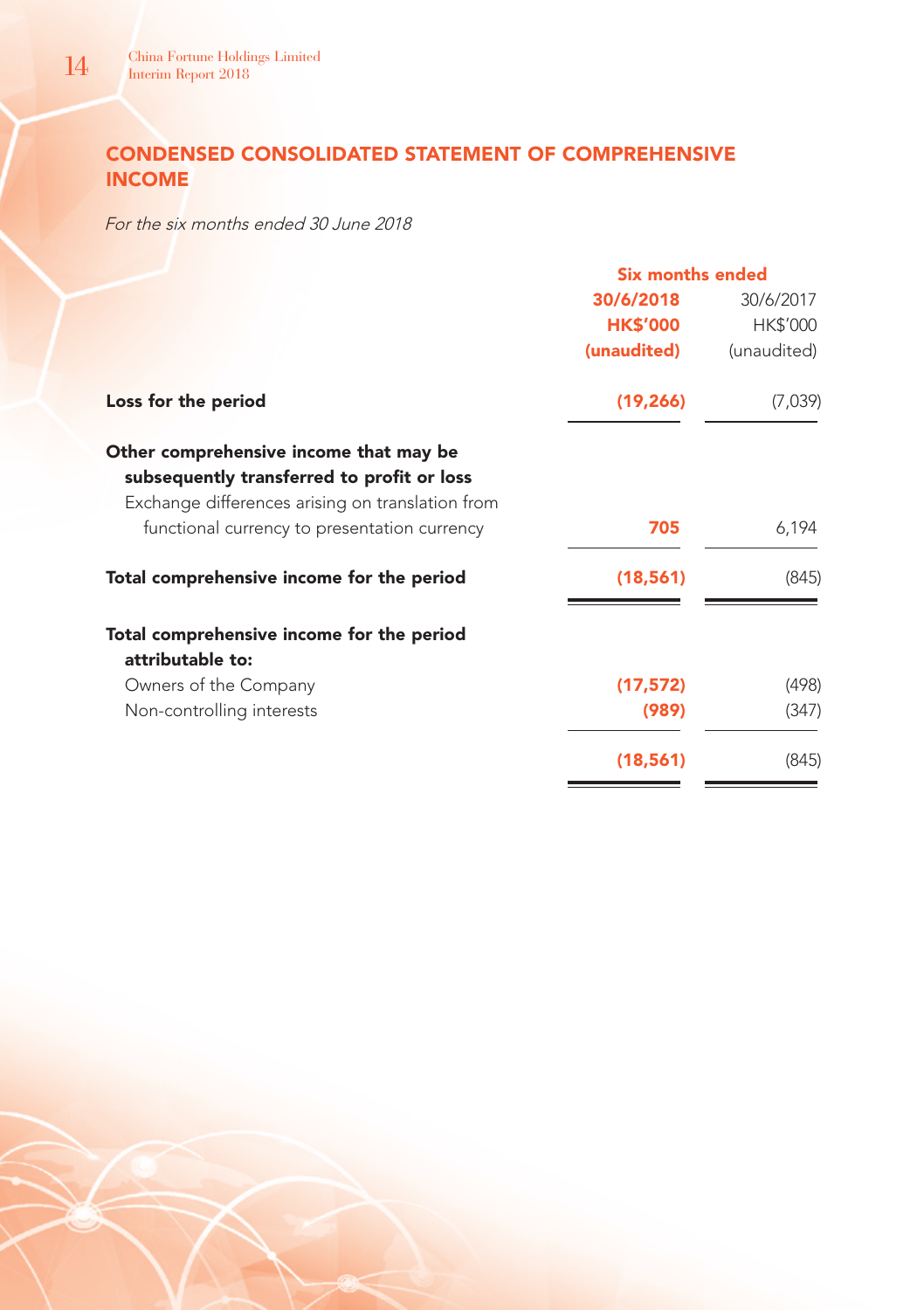# CONDENSED CONSOLIDATED STATEMENT OF COMPREHENSIVE INCOME

For the six months ended 30 June 2018

|                                                                                                                                          | <b>Six months ended</b> |             |  |
|------------------------------------------------------------------------------------------------------------------------------------------|-------------------------|-------------|--|
|                                                                                                                                          | 30/6/2018               | 30/6/2017   |  |
|                                                                                                                                          | <b>HK\$'000</b>         | HK\$'000    |  |
|                                                                                                                                          | (unaudited)             | (unaudited) |  |
| Loss for the period                                                                                                                      | (19, 266)               | (7,039)     |  |
| Other comprehensive income that may be<br>subsequently transferred to profit or loss<br>Exchange differences arising on translation from |                         |             |  |
| functional currency to presentation currency                                                                                             | 705                     | 6,194       |  |
| Total comprehensive income for the period                                                                                                | (18, 561)               | (845)       |  |
| Total comprehensive income for the period<br>attributable to:                                                                            |                         |             |  |
| Owners of the Company                                                                                                                    | (17, 572)               | (498)       |  |
| Non-controlling interests                                                                                                                | (989)                   | (347)       |  |
|                                                                                                                                          | (18, 561)               | (845)       |  |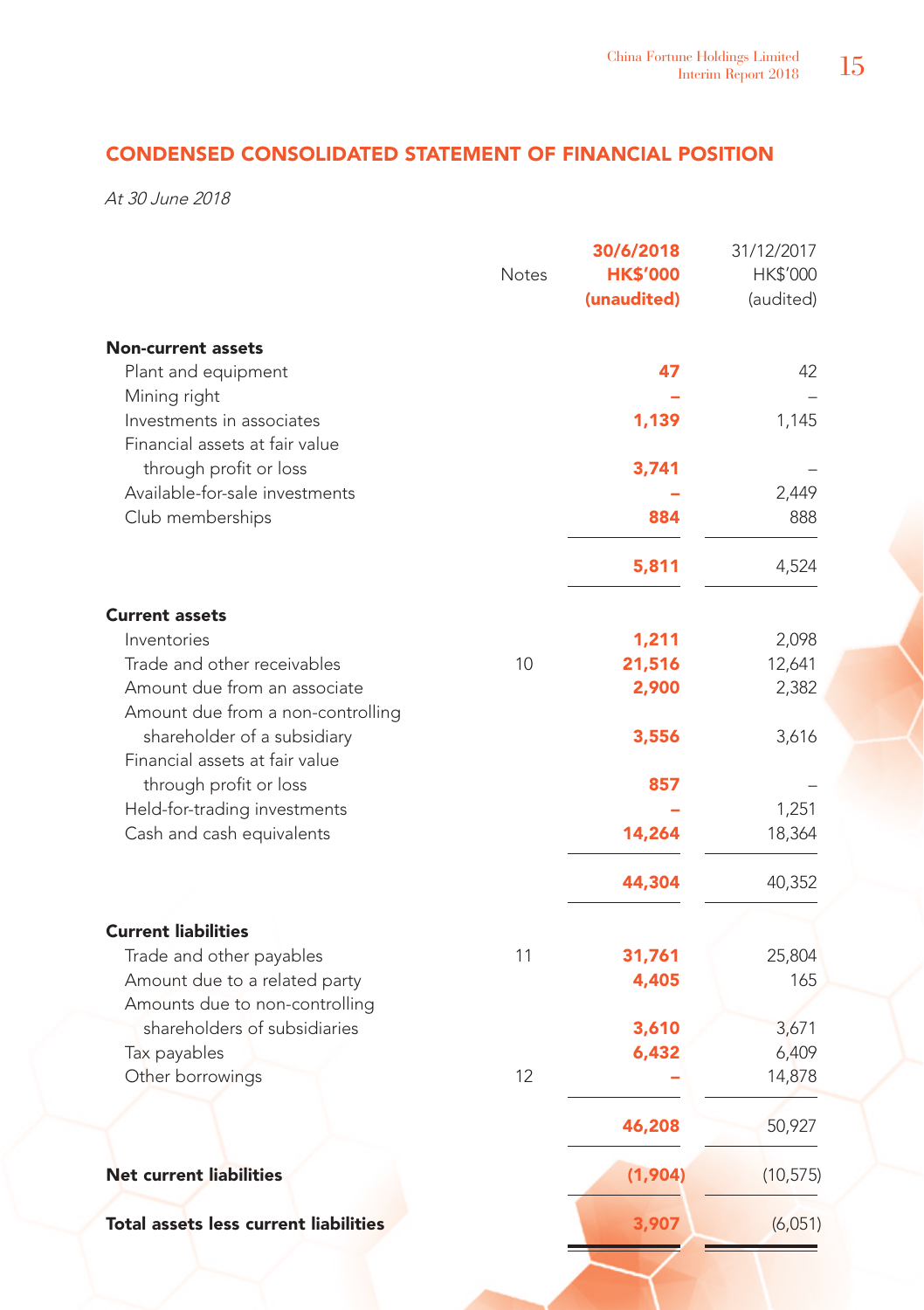# CONDENSED CONSOLIDATED STATEMENT OF FINANCIAL POSITION

At 30 June 2018

|                                                                   | <b>Notes</b> | 30/6/2018<br><b>HK\$'000</b><br>(unaudited) | 31/12/2017<br>HK\$'000<br>(audited) |
|-------------------------------------------------------------------|--------------|---------------------------------------------|-------------------------------------|
| <b>Non-current assets</b><br>Plant and equipment                  |              | 47                                          | 42                                  |
| Mining right                                                      |              |                                             |                                     |
| Investments in associates<br>Financial assets at fair value       |              | 1,139                                       | 1,145                               |
| through profit or loss                                            |              | 3,741                                       |                                     |
| Available-for-sale investments                                    |              |                                             | 2,449                               |
| Club memberships                                                  |              | 884                                         | 888                                 |
|                                                                   |              | 5,811                                       | 4,524                               |
| <b>Current assets</b>                                             |              |                                             |                                     |
| Inventories                                                       |              | 1,211                                       | 2,098                               |
| Trade and other receivables                                       | 10           | 21,516                                      | 12,641                              |
| Amount due from an associate<br>Amount due from a non-controlling |              | 2,900                                       | 2,382                               |
| shareholder of a subsidiary                                       |              | 3,556                                       | 3,616                               |
| Financial assets at fair value                                    |              |                                             |                                     |
| through profit or loss                                            |              | 857                                         |                                     |
| Held-for-trading investments                                      |              |                                             | 1,251                               |
| Cash and cash equivalents                                         |              | 14,264                                      | 18,364                              |
|                                                                   |              | 44,304                                      | 40,352                              |
| <b>Current liabilities</b>                                        |              |                                             |                                     |
| Trade and other payables                                          | 11           | 31,761                                      | 25,804                              |
| Amount due to a related party<br>Amounts due to non-controlling   |              | 4,405                                       | 165                                 |
| shareholders of subsidiaries                                      |              | 3,610                                       | 3,671                               |
| Tax payables                                                      |              | 6,432                                       | 6,409                               |
| Other borrowings                                                  | 12           |                                             | 14,878                              |
|                                                                   |              | 46,208                                      | 50,927                              |
| <b>Net current liabilities</b>                                    |              | (1,904)                                     | (10, 575)                           |
| <b>Total assets less current liabilities</b>                      |              | 3,907                                       | (6,051)                             |
|                                                                   |              |                                             |                                     |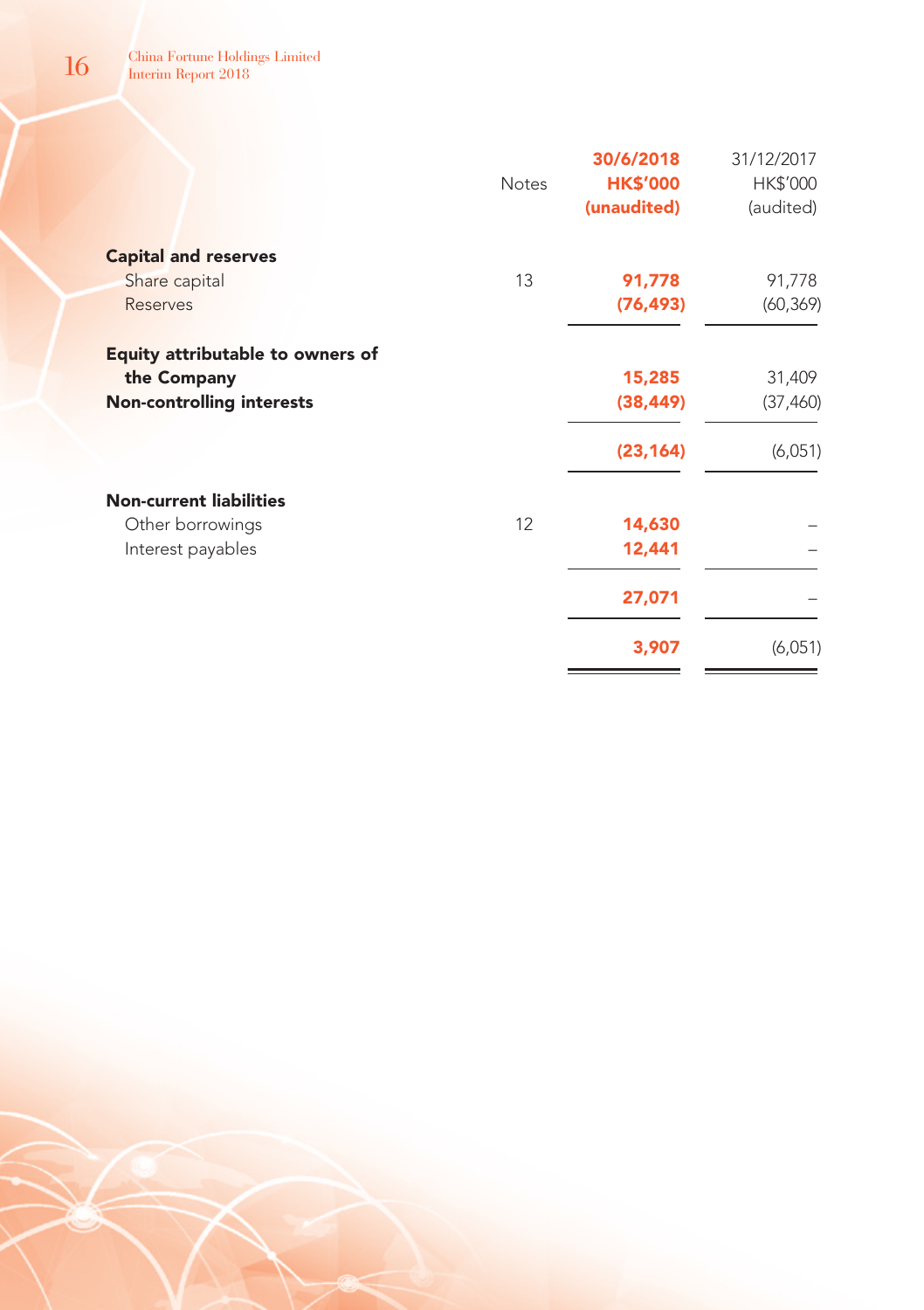|                                  | <b>Notes</b> | 30/6/2018<br><b>HK\$'000</b><br>(unaudited) | 31/12/2017<br>HK\$'000<br>(audited) |
|----------------------------------|--------------|---------------------------------------------|-------------------------------------|
| <b>Capital and reserves</b>      |              |                                             |                                     |
| Share capital                    | 13           | 91,778                                      | 91,778                              |
| <b>Reserves</b>                  |              | (76, 493)                                   | (60, 369)                           |
| Equity attributable to owners of |              |                                             |                                     |
| the Company                      |              | 15,285                                      | 31,409                              |
| <b>Non-controlling interests</b> |              | (38, 449)                                   | (37, 460)                           |
|                                  |              | (23, 164)                                   | (6,051)                             |
| <b>Non-current liabilities</b>   |              |                                             |                                     |
| Other borrowings                 | 12           | 14,630                                      |                                     |
| Interest payables                |              | 12,441                                      |                                     |
|                                  |              | 27,071                                      |                                     |
|                                  |              | 3,907                                       | (6,051)                             |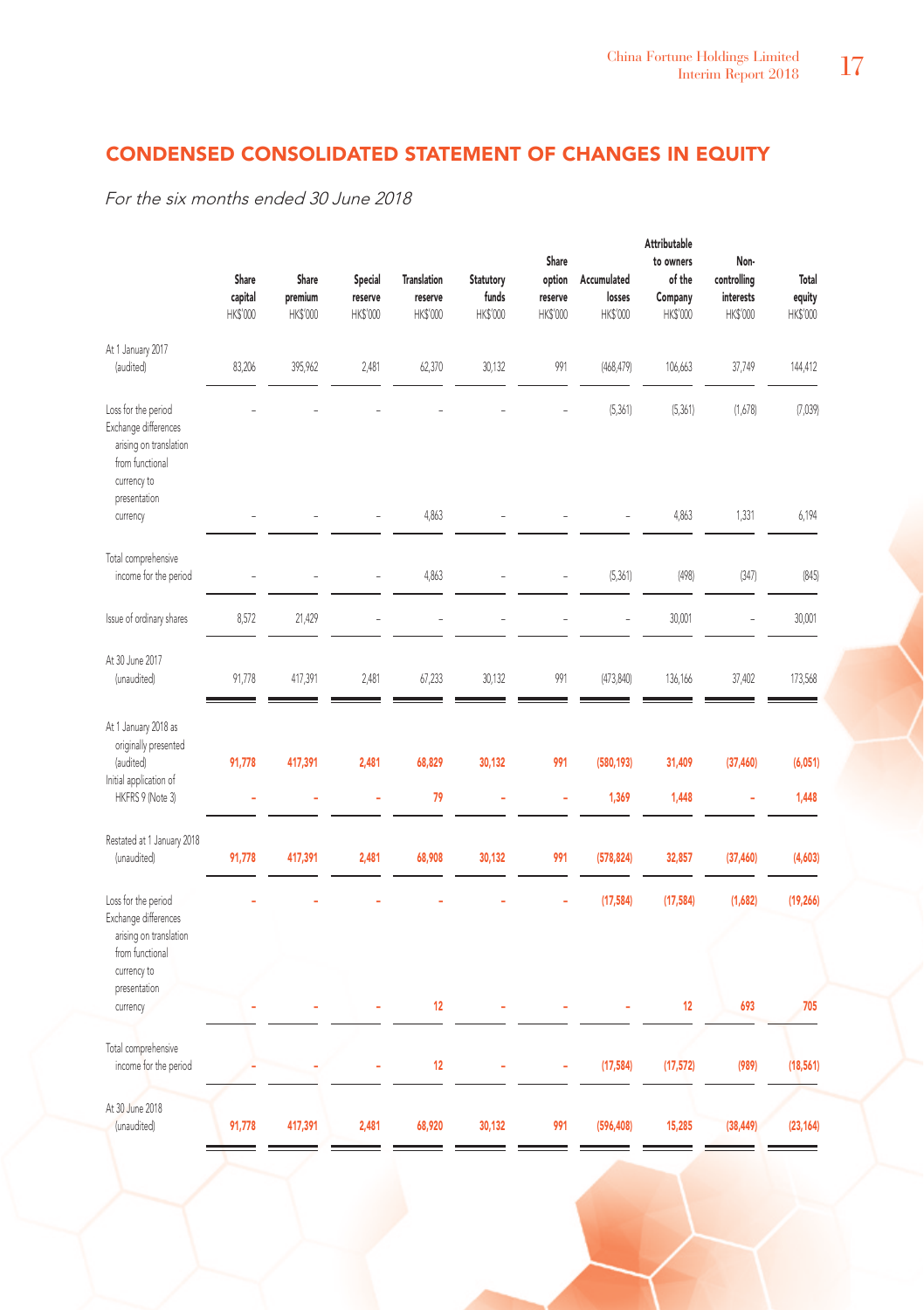# CONDENSED CONSOLIDATED STATEMENT OF CHANGES IN EQUITY

For the six months ended 30 June 2018

|                                                                                                         | Share<br>capital<br>HK\$'000 | Share<br>premium<br>HK\$'000 | Special<br>reserve<br>HK\$'000 | <b>Translation</b><br>reserve<br>HK\$'000 | Statutory<br>funds<br>HK\$'000 | Share<br>option<br>reserve<br>HK\$'000 | Accumulated<br>losses<br>HK\$'000 | Attributable<br>to owners<br>of the<br>Company<br>HK\$'000 | Non-<br>controlling<br>interests<br>HK\$'000 | Total<br>equity<br>HK\$'000 |
|---------------------------------------------------------------------------------------------------------|------------------------------|------------------------------|--------------------------------|-------------------------------------------|--------------------------------|----------------------------------------|-----------------------------------|------------------------------------------------------------|----------------------------------------------|-----------------------------|
| At 1 January 2017<br>(audited)                                                                          | 83,206                       | 395,962                      | 2,481                          | 62,370                                    | 30,132                         | 991                                    | (468, 479)                        | 106,663                                                    | 37,749                                       | 144,412                     |
| Loss for the period<br>Exchange differences<br>arising on translation<br>from functional<br>currency to |                              |                              |                                |                                           |                                |                                        | (5, 361)                          | (5, 361)                                                   | (1,678)                                      | (7,039)                     |
| presentation<br>currency                                                                                |                              |                              | i,                             | 4,863                                     |                                |                                        | L,                                | 4,863                                                      | 1,331                                        | 6,194                       |
| Total comprehensive<br>income for the period                                                            |                              |                              |                                | 4,863                                     |                                |                                        | (5, 361)                          | (498)                                                      | (347)                                        | (845)                       |
| Issue of ordinary shares                                                                                | 8,572                        | 21,429                       |                                |                                           |                                |                                        |                                   | 30,001                                                     |                                              | 30,001                      |
| At 30 June 2017<br>(unaudited)                                                                          | 91,778                       | 417,391                      | 2,481                          | 67,233                                    | 30,132                         | 991                                    | (473, 840)                        | 136,166                                                    | 37,402                                       | 173,568                     |
| At 1 January 2018 as<br>originally presented<br>(audited)<br>Initial application of<br>HKFRS 9 (Note 3) | 91,778                       | 417,391                      | 2,481<br>ä,                    | 68,829<br>79                              | 30,132<br>ä,                   | 991<br>ä,                              | (580, 193)<br>1,369               | 31,409<br>1,448                                            | (37, 460)<br>ä,                              | (6,051)<br>1,448            |
| Restated at 1 January 2018<br>(unaudited)                                                               | 91,778                       | 417,391                      | 2,481                          | 68,908                                    | 30,132                         | 991                                    | (578, 824)                        | 32,857                                                     | (37, 460)                                    | (4,603)                     |
| Loss for the period<br>Exchange differences<br>arising on translation<br>from functional<br>currency to |                              |                              |                                |                                           |                                |                                        | (17, 584)                         | (17, 584)                                                  | (1,682)                                      | (19, 266)                   |
| presentation<br>currency                                                                                |                              |                              |                                | 12                                        |                                |                                        |                                   | 12                                                         | 693                                          | 705                         |
| Total comprehensive<br>income for the period                                                            |                              |                              |                                | 12                                        |                                |                                        | (17, 584)                         | (17, 572)                                                  | (989)                                        | (18, 561)                   |
| At 30 June 2018<br>(unaudited)                                                                          | 91,778                       | 417,391                      | 2,481                          | 68,920                                    | 30,132                         | 991                                    | (596, 408)                        | 15,285                                                     | (38, 449)                                    | (23, 164)                   |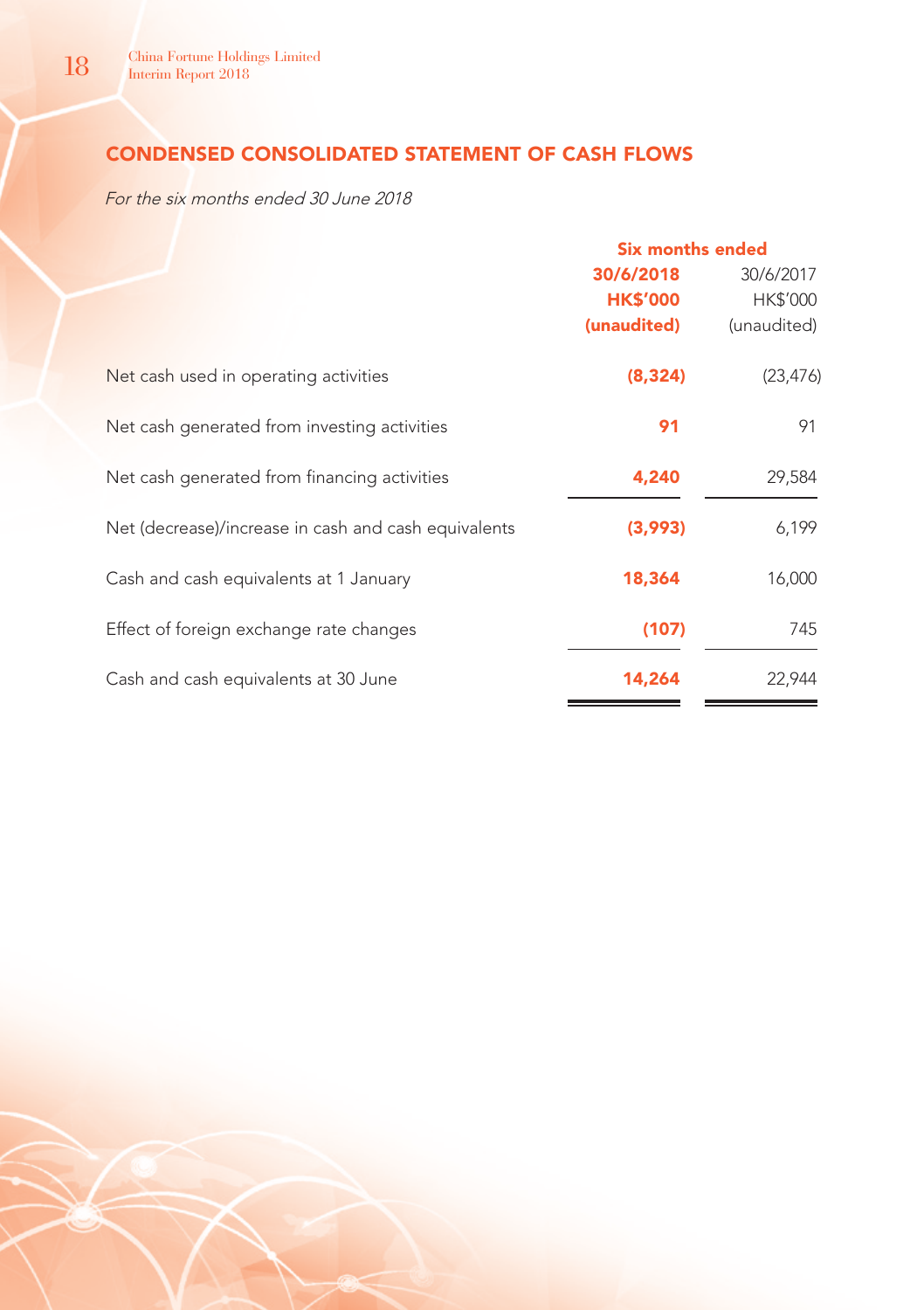# CONDENSED CONSOLIDATED STATEMENT OF CASH FLOWS

For the six months ended 30 June 2018

|                                                      | Six months ended |             |
|------------------------------------------------------|------------------|-------------|
|                                                      | 30/6/2018        | 30/6/2017   |
|                                                      | <b>HK\$'000</b>  | HK\$'000    |
|                                                      | (unaudited)      | (unaudited) |
| Net cash used in operating activities                | (8, 324)         | (23, 476)   |
| Net cash generated from investing activities         | 91               | 91          |
| Net cash generated from financing activities         | 4,240            | 29,584      |
| Net (decrease)/increase in cash and cash equivalents | (3,993)          | 6,199       |
| Cash and cash equivalents at 1 January               | 18,364           | 16,000      |
| Effect of foreign exchange rate changes              | (107)            | 745         |
| Cash and cash equivalents at 30 June                 | 14,264           | 22,944      |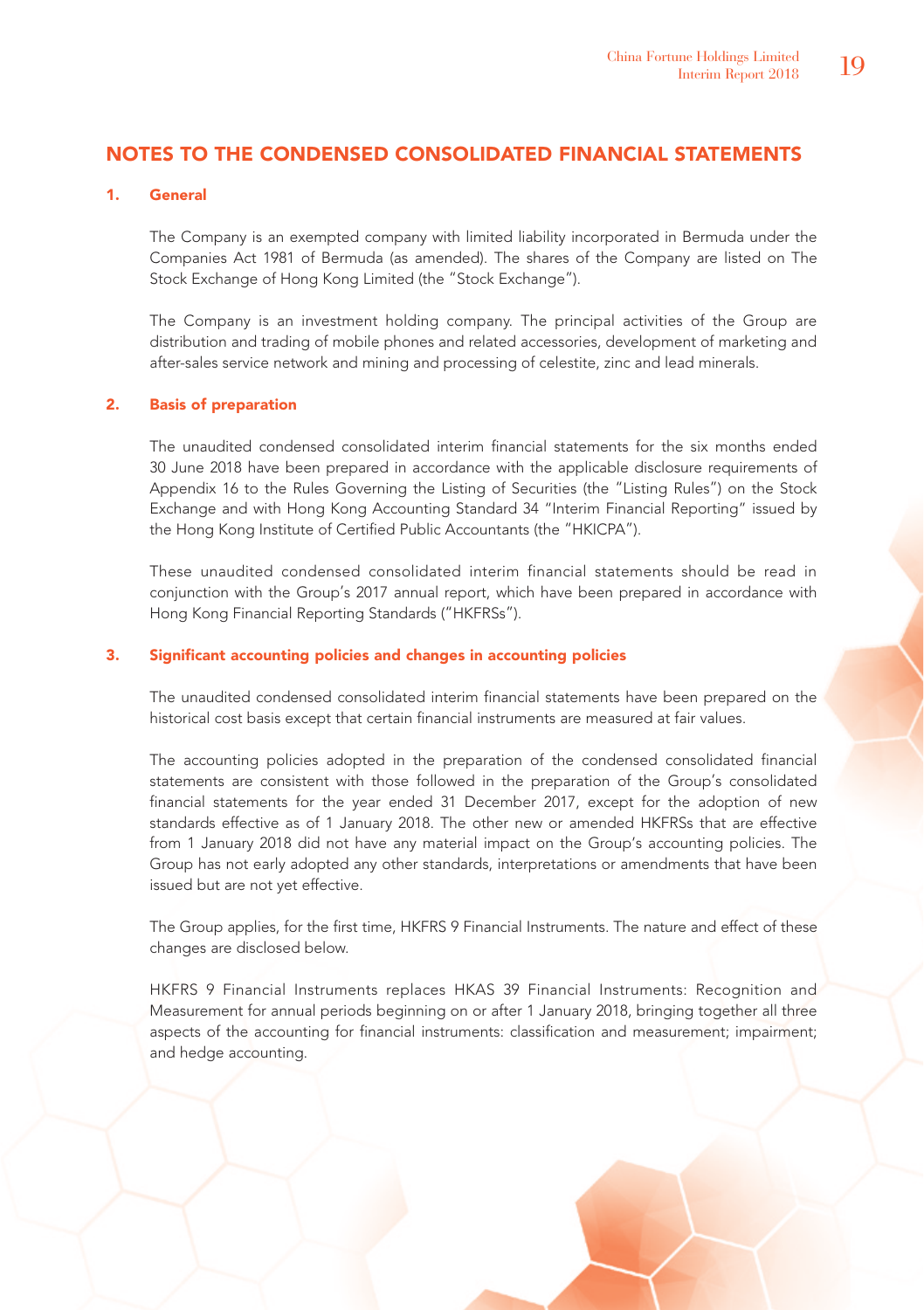# NOTES TO THE CONDENSED CONSOLIDATED FINANCIAL STATEMENTS

### 1. General

The Company is an exempted company with limited liability incorporated in Bermuda under the Companies Act 1981 of Bermuda (as amended). The shares of the Company are listed on The Stock Exchange of Hong Kong Limited (the "Stock Exchange").

The Company is an investment holding company. The principal activities of the Group are distribution and trading of mobile phones and related accessories, development of marketing and after-sales service network and mining and processing of celestite, zinc and lead minerals.

### 2. Basis of preparation

The unaudited condensed consolidated interim financial statements for the six months ended 30 June 2018 have been prepared in accordance with the applicable disclosure requirements of Appendix 16 to the Rules Governing the Listing of Securities (the "Listing Rules") on the Stock Exchange and with Hong Kong Accounting Standard 34 "Interim Financial Reporting" issued by the Hong Kong Institute of Certified Public Accountants (the "HKICPA").

These unaudited condensed consolidated interim financial statements should be read in conjunction with the Group's 2017 annual report, which have been prepared in accordance with Hong Kong Financial Reporting Standards ("HKFRSs").

### 3. Significant accounting policies and changes in accounting policies

The unaudited condensed consolidated interim financial statements have been prepared on the historical cost basis except that certain financial instruments are measured at fair values.

The accounting policies adopted in the preparation of the condensed consolidated financial statements are consistent with those followed in the preparation of the Group's consolidated financial statements for the year ended 31 December 2017, except for the adoption of new standards effective as of 1 January 2018. The other new or amended HKFRSs that are effective from 1 January 2018 did not have any material impact on the Group's accounting policies. The Group has not early adopted any other standards, interpretations or amendments that have been issued but are not yet effective.

The Group applies, for the first time, HKFRS 9 Financial Instruments. The nature and effect of these changes are disclosed below.

HKFRS 9 Financial Instruments replaces HKAS 39 Financial Instruments: Recognition and Measurement for annual periods beginning on or after 1 January 2018, bringing together all three aspects of the accounting for financial instruments: classification and measurement; impairment; and hedge accounting.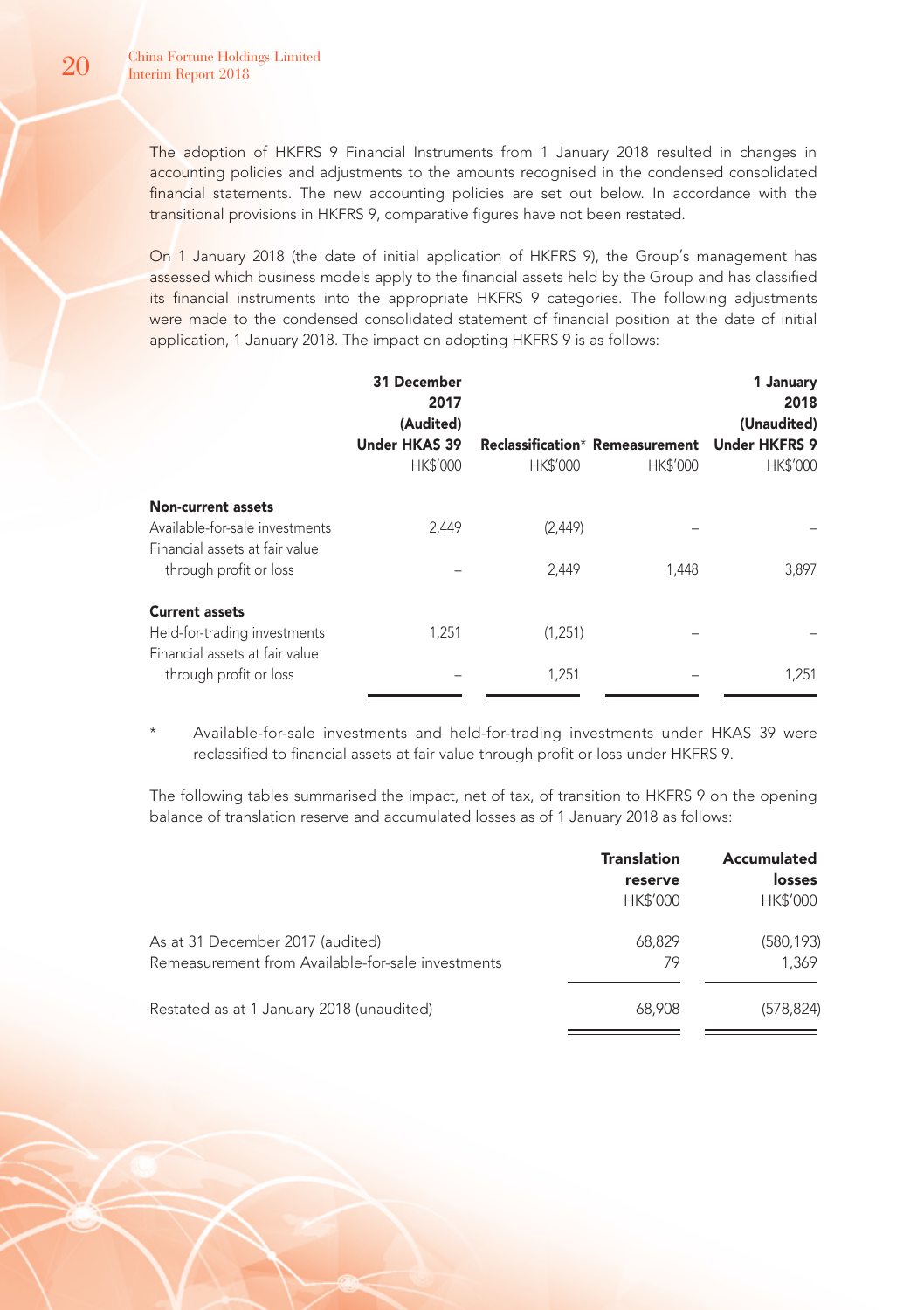The adoption of HKFRS 9 Financial Instruments from 1 January 2018 resulted in changes in accounting policies and adjustments to the amounts recognised in the condensed consolidated financial statements. The new accounting policies are set out below. In accordance with the transitional provisions in HKFRS 9, comparative figures have not been restated.

On 1 January 2018 (the date of initial application of HKFRS 9), the Group's management has assessed which business models apply to the financial assets held by the Group and has classified its financial instruments into the appropriate HKFRS 9 categories. The following adjustments were made to the condensed consolidated statement of financial position at the date of initial application, 1 January 2018. The impact on adopting HKFRS 9 is as follows:

|                                                                                                                         | 31 December<br>2017<br>(Audited)<br><b>Under HKAS 39</b> |                  | Reclassification* Remeasurement | 1 January<br>2018<br>(Unaudited)<br><b>Under HKFRS 9</b> |
|-------------------------------------------------------------------------------------------------------------------------|----------------------------------------------------------|------------------|---------------------------------|----------------------------------------------------------|
|                                                                                                                         | HK\$'000                                                 | <b>HK\$'000</b>  | <b>HK\$'000</b>                 | <b>HK\$'000</b>                                          |
| <b>Non-current assets</b><br>Available-for-sale investments<br>Financial assets at fair value<br>through profit or loss | 2,449                                                    | (2,449)<br>2,449 | 1.448                           | 3,897                                                    |
| <b>Current assets</b><br>Held-for-trading investments<br>Financial assets at fair value<br>through profit or loss       | 1,251                                                    | (1,251)<br>1,251 |                                 | 1,251                                                    |

Available-for-sale investments and held-for-trading investments under HKAS 39 were reclassified to financial assets at fair value through profit or loss under HKFRS 9.

The following tables summarised the impact, net of tax, of transition to HKFRS 9 on the opening balance of translation reserve and accumulated losses as of 1 January 2018 as follows:

|                                                   | <b>Translation</b> | Accumulated     |
|---------------------------------------------------|--------------------|-----------------|
|                                                   | reserve            | losses          |
|                                                   | <b>HK\$'000</b>    | <b>HK\$'000</b> |
| As at 31 December 2017 (audited)                  | 68,829             | (580, 193)      |
| Remeasurement from Available-for-sale investments | 79                 | 1.369           |
| Restated as at 1 January 2018 (unaudited)         | 68,908             | (578, 824)      |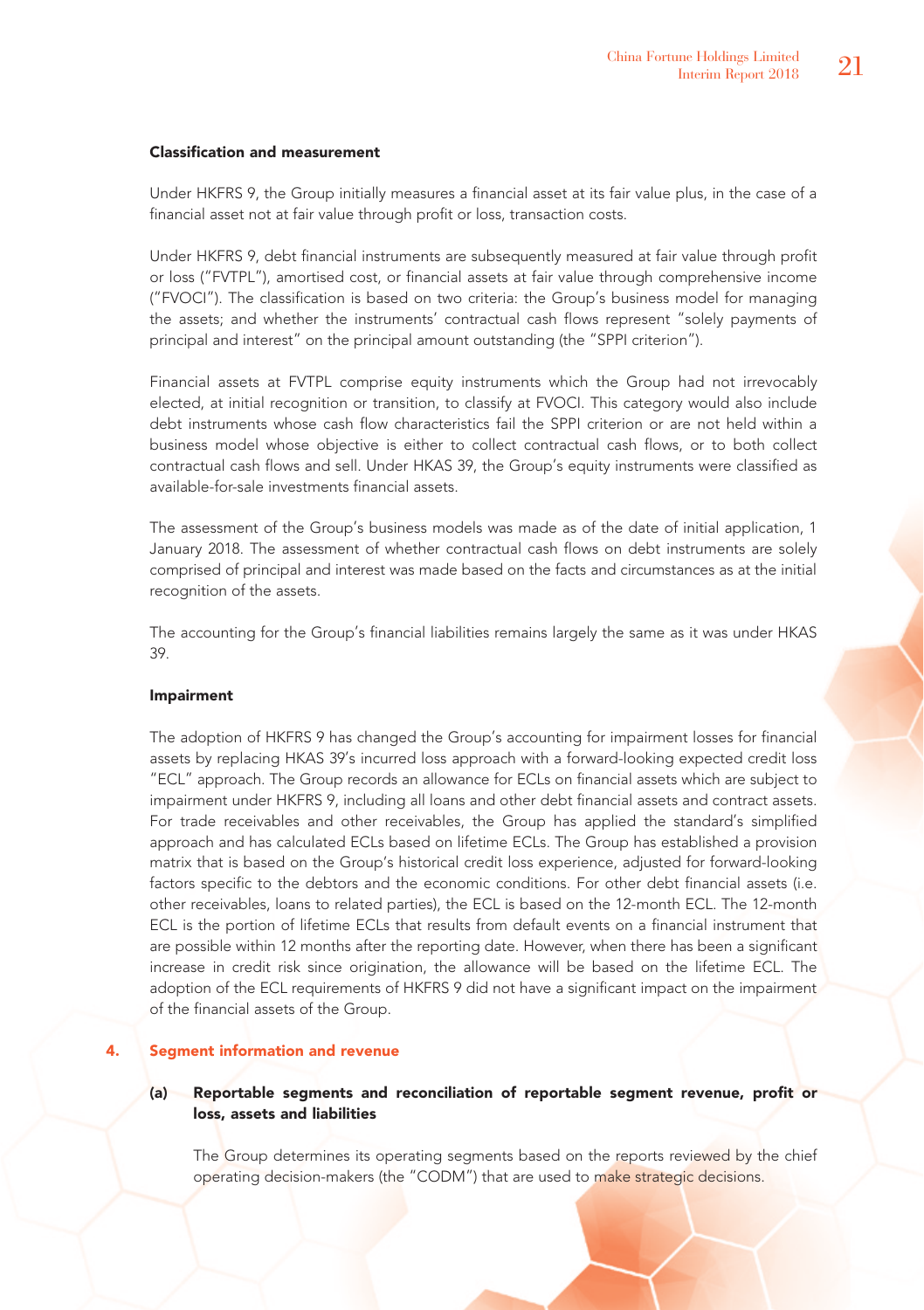### Classification and measurement

Under HKFRS 9, the Group initially measures a financial asset at its fair value plus, in the case of a financial asset not at fair value through profit or loss, transaction costs.

Under HKFRS 9, debt financial instruments are subsequently measured at fair value through profit or loss ("FVTPL"), amortised cost, or financial assets at fair value through comprehensive income ("FVOCI"). The classification is based on two criteria: the Group's business model for managing the assets; and whether the instruments' contractual cash flows represent "solely payments of principal and interest" on the principal amount outstanding (the "SPPI criterion").

Financial assets at FVTPL comprise equity instruments which the Group had not irrevocably elected, at initial recognition or transition, to classify at FVOCI. This category would also include debt instruments whose cash flow characteristics fail the SPPI criterion or are not held within a business model whose objective is either to collect contractual cash flows, or to both collect contractual cash flows and sell. Under HKAS 39, the Group's equity instruments were classified as available-for-sale investments financial assets.

The assessment of the Group's business models was made as of the date of initial application, 1 January 2018. The assessment of whether contractual cash flows on debt instruments are solely comprised of principal and interest was made based on the facts and circumstances as at the initial recognition of the assets.

The accounting for the Group's financial liabilities remains largely the same as it was under HKAS 39.

### Impairment

The adoption of HKFRS 9 has changed the Group's accounting for impairment losses for financial assets by replacing HKAS 39's incurred loss approach with a forward-looking expected credit loss "ECL" approach. The Group records an allowance for ECLs on financial assets which are subject to impairment under HKFRS 9, including all loans and other debt financial assets and contract assets. For trade receivables and other receivables, the Group has applied the standard's simplified approach and has calculated ECLs based on lifetime ECLs. The Group has established a provision matrix that is based on the Group's historical credit loss experience, adjusted for forward-looking factors specific to the debtors and the economic conditions. For other debt financial assets (i.e. other receivables, loans to related parties), the ECL is based on the 12-month ECL. The 12-month ECL is the portion of lifetime ECLs that results from default events on a financial instrument that are possible within 12 months after the reporting date. However, when there has been a significant increase in credit risk since origination, the allowance will be based on the lifetime ECL. The adoption of the ECL requirements of HKFRS 9 did not have a significant impact on the impairment of the financial assets of the Group.

### 4. Segment information and revenue

### (a) Reportable segments and reconciliation of reportable segment revenue, profit or loss, assets and liabilities

The Group determines its operating segments based on the reports reviewed by the chief operating decision-makers (the "CODM") that are used to make strategic decisions.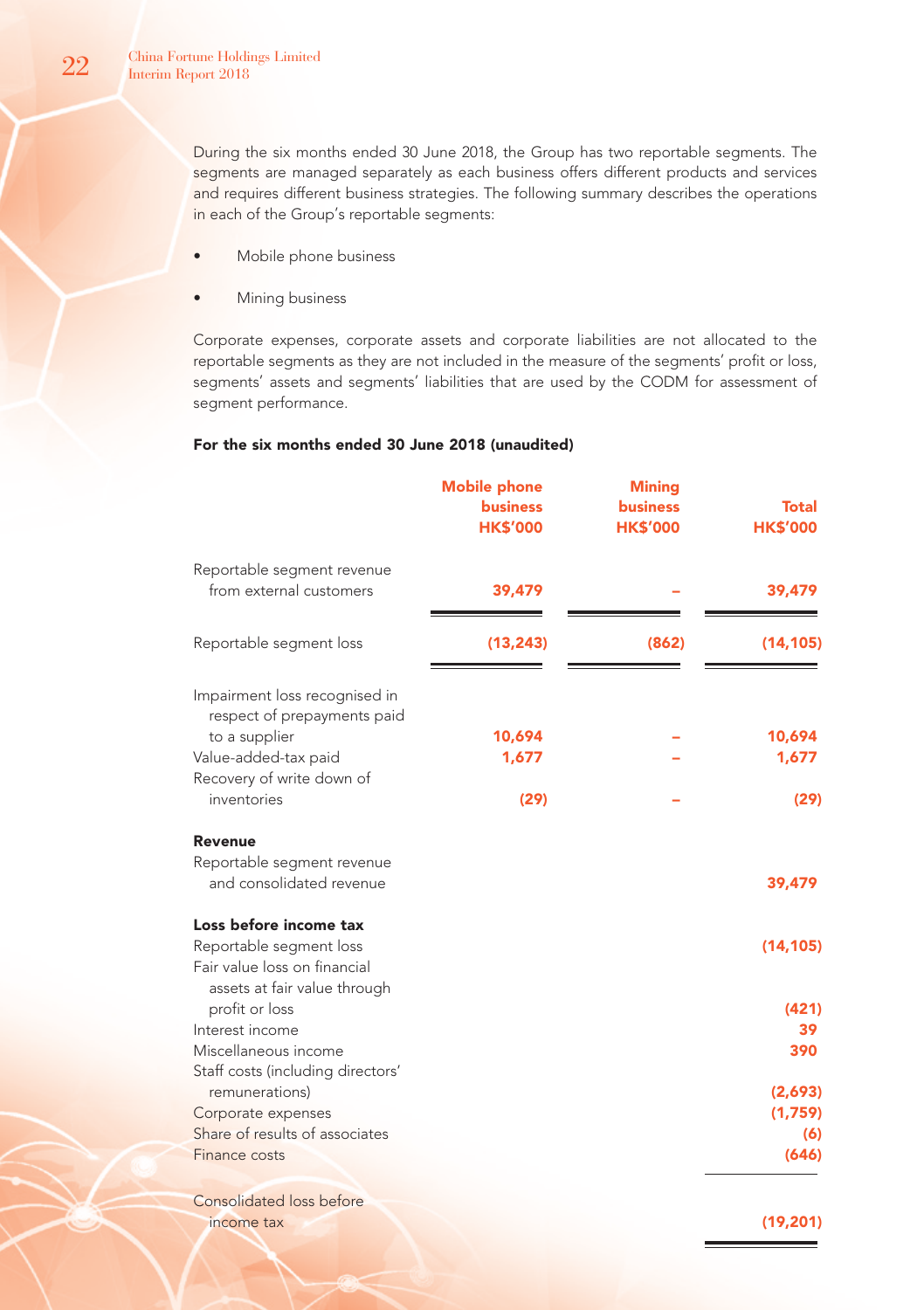During the six months ended 30 June 2018, the Group has two reportable segments. The segments are managed separately as each business offers different products and services and requires different business strategies. The following summary describes the operations in each of the Group's reportable segments:

- Mobile phone business
- Mining business

Corporate expenses, corporate assets and corporate liabilities are not allocated to the reportable segments as they are not included in the measure of the segments' profit or loss, segments' assets and segments' liabilities that are used by the CODM for assessment of segment performance.

### For the six months ended 30 June 2018 (unaudited)

|                                                                                                                                    | <b>Mobile phone</b><br><b>business</b><br><b>HK\$'000</b> | <b>Mining</b><br><b>business</b><br><b>HK\$'000</b> | <b>Total</b><br><b>HK\$'000</b> |
|------------------------------------------------------------------------------------------------------------------------------------|-----------------------------------------------------------|-----------------------------------------------------|---------------------------------|
| Reportable segment revenue<br>from external customers                                                                              | 39,479                                                    |                                                     | 39,479                          |
| Reportable segment loss                                                                                                            | (13, 243)                                                 | (862)                                               | (14, 105)                       |
| Impairment loss recognised in<br>respect of prepayments paid<br>to a supplier<br>Value-added-tax paid<br>Recovery of write down of | 10,694<br>1,677                                           |                                                     | 10,694<br>1,677                 |
| inventories                                                                                                                        | (29)                                                      |                                                     | (29)                            |
| Revenue<br>Reportable segment revenue<br>and consolidated revenue                                                                  |                                                           |                                                     | 39,479                          |
| Loss before income tax<br>Reportable segment loss<br>Fair value loss on financial<br>assets at fair value through                  |                                                           |                                                     | (14, 105)                       |
| profit or loss<br>Interest income<br>Miscellaneous income                                                                          |                                                           |                                                     | (421)<br>39<br>390              |
| Staff costs (including directors'<br>remunerations)<br>Corporate expenses<br>Share of results of associates                        |                                                           |                                                     | (2,693)<br>(1,759)<br>(6)       |
| Finance costs                                                                                                                      |                                                           |                                                     | (646)                           |
| Consolidated loss before<br>income tax                                                                                             |                                                           |                                                     | (19, 201)                       |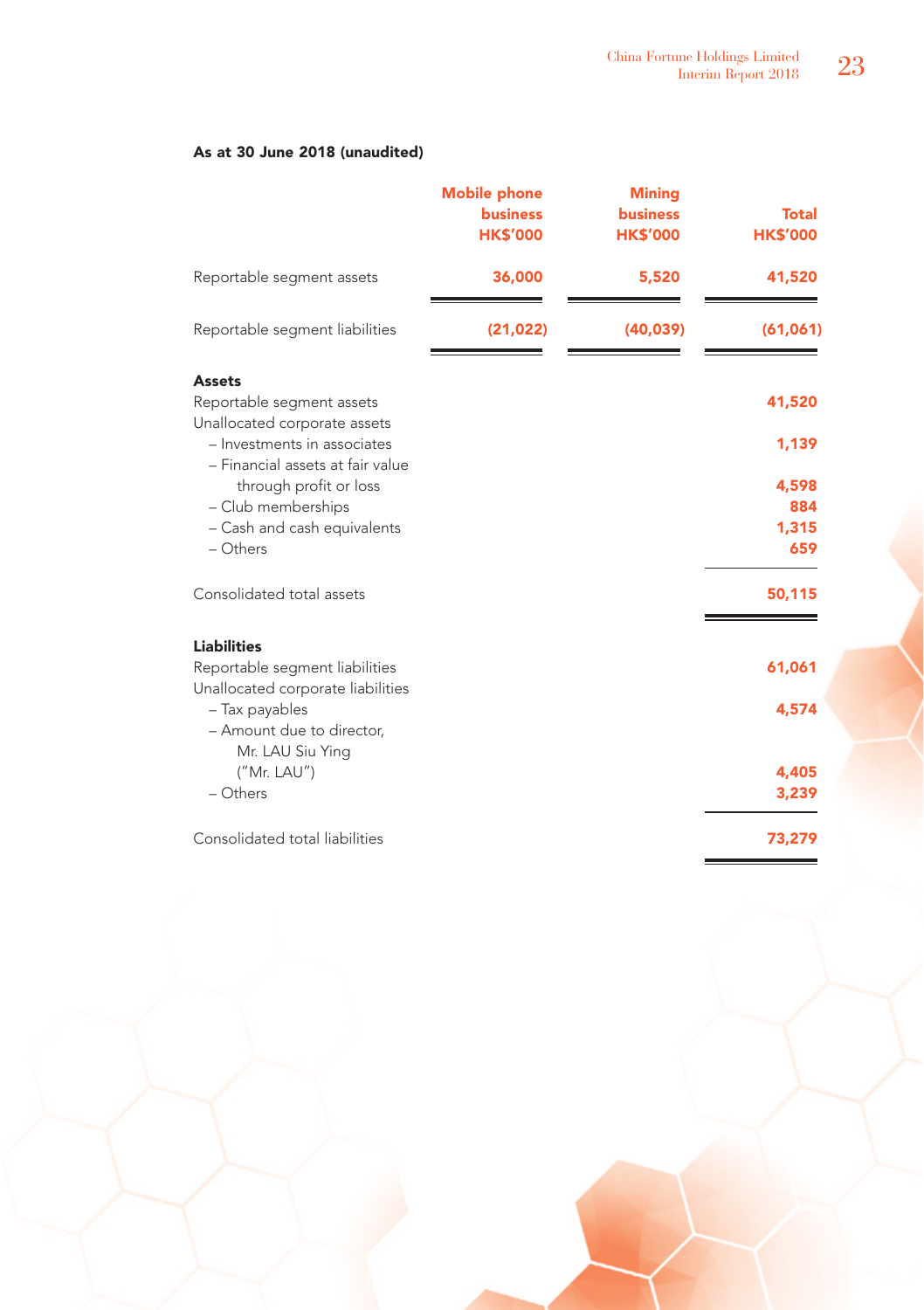# As at 30 June 2018 (unaudited)

|                                                                                                                                               | <b>Mobile phone</b><br><b>business</b><br><b>HK\$'000</b> | <b>Mining</b><br><b>business</b><br><b>HK\$'000</b> | <b>Total</b><br><b>HK\$'000</b> |
|-----------------------------------------------------------------------------------------------------------------------------------------------|-----------------------------------------------------------|-----------------------------------------------------|---------------------------------|
| Reportable segment assets                                                                                                                     | 36,000                                                    | 5,520                                               | 41,520                          |
| Reportable segment liabilities                                                                                                                | (21, 022)                                                 | (40, 039)                                           | (61,061)                        |
| <b>Assets</b><br>Reportable segment assets<br>Unallocated corporate assets<br>- Investments in associates<br>- Financial assets at fair value |                                                           |                                                     | 41,520<br>1,139                 |
| through profit or loss<br>- Club memberships<br>- Cash and cash equivalents<br>$-$ Others                                                     |                                                           |                                                     | 4,598<br>884<br>1,315<br>659    |
| Consolidated total assets                                                                                                                     |                                                           |                                                     | 50,115                          |
| <b>Liabilities</b><br>Reportable segment liabilities<br>Unallocated corporate liabilities                                                     |                                                           |                                                     | 61,061                          |
| - Tax payables<br>- Amount due to director,<br>Mr. LAU Siu Ying                                                                               |                                                           |                                                     | 4,574                           |
| ("Mr. LAU")<br>- Others                                                                                                                       |                                                           |                                                     | 4,405<br>3,239                  |
| Consolidated total liabilities                                                                                                                |                                                           |                                                     | 73,279                          |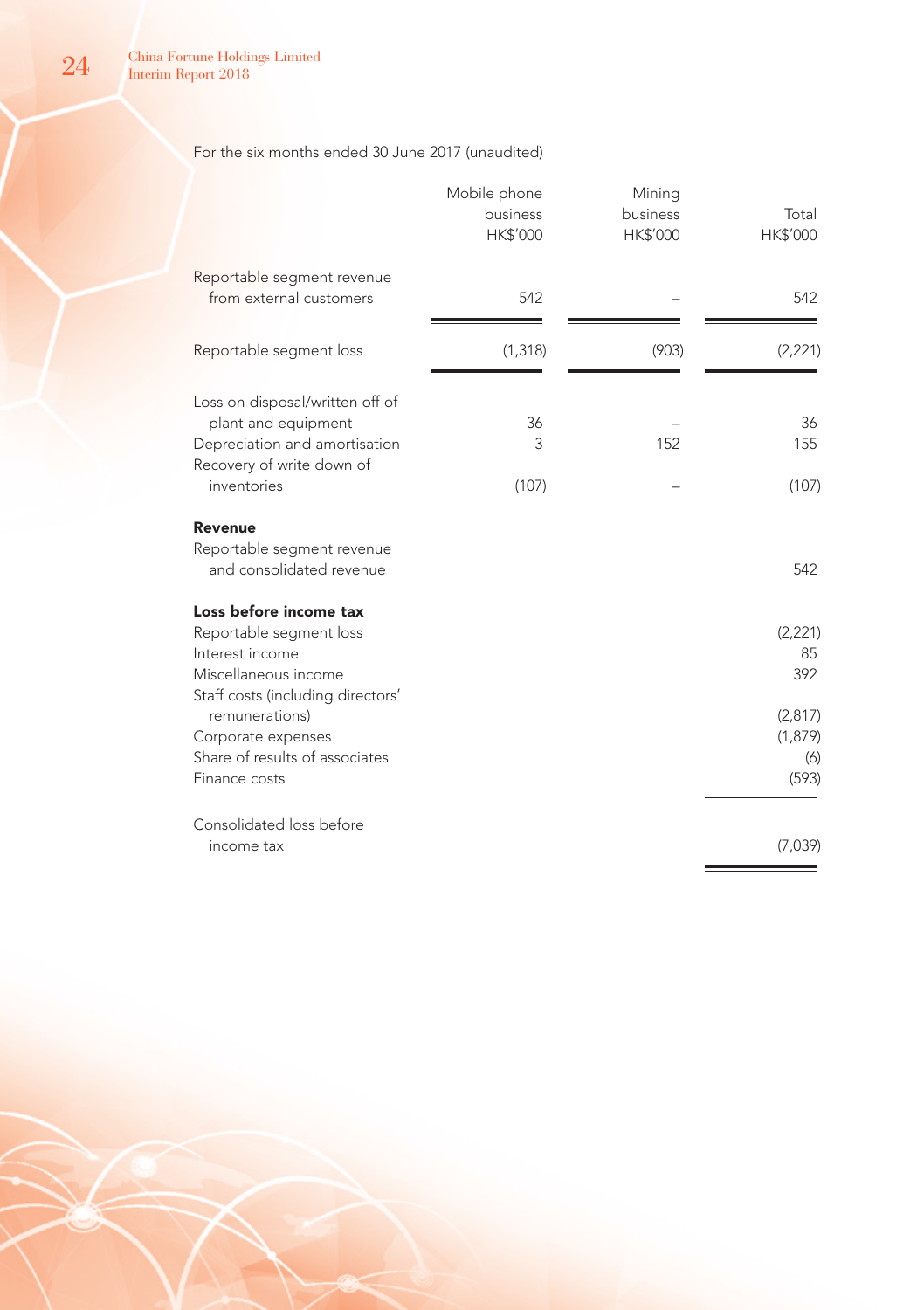# For the six months ended 30 June 2017 (unaudited)

|                                                                                                                                                                                                                              | Mobile phone<br>business<br>HK\$'000 | Mining<br>business<br>HK\$'000 | Total<br>HK\$'000                                           |
|------------------------------------------------------------------------------------------------------------------------------------------------------------------------------------------------------------------------------|--------------------------------------|--------------------------------|-------------------------------------------------------------|
| Reportable segment revenue<br>from external customers                                                                                                                                                                        | 542                                  |                                | 542                                                         |
| Reportable segment loss                                                                                                                                                                                                      | (1, 318)                             | (903)                          | (2, 221)                                                    |
| Loss on disposal/written off of<br>plant and equipment<br>Depreciation and amortisation<br>Recovery of write down of<br>inventories                                                                                          | 36<br>3<br>(107)                     | 152                            | 36<br>155<br>(107)                                          |
| Revenue<br>Reportable segment revenue<br>and consolidated revenue                                                                                                                                                            |                                      |                                | 542                                                         |
| Loss before income tax<br>Reportable segment loss<br>Interest income<br>Miscellaneous income<br>Staff costs (including directors'<br>remunerations)<br>Corporate expenses<br>Share of results of associates<br>Finance costs |                                      |                                | (2,221)<br>85<br>392<br>(2,817)<br>(1, 879)<br>(6)<br>(593) |
| Consolidated loss before<br>income tax                                                                                                                                                                                       |                                      |                                | (7,039)                                                     |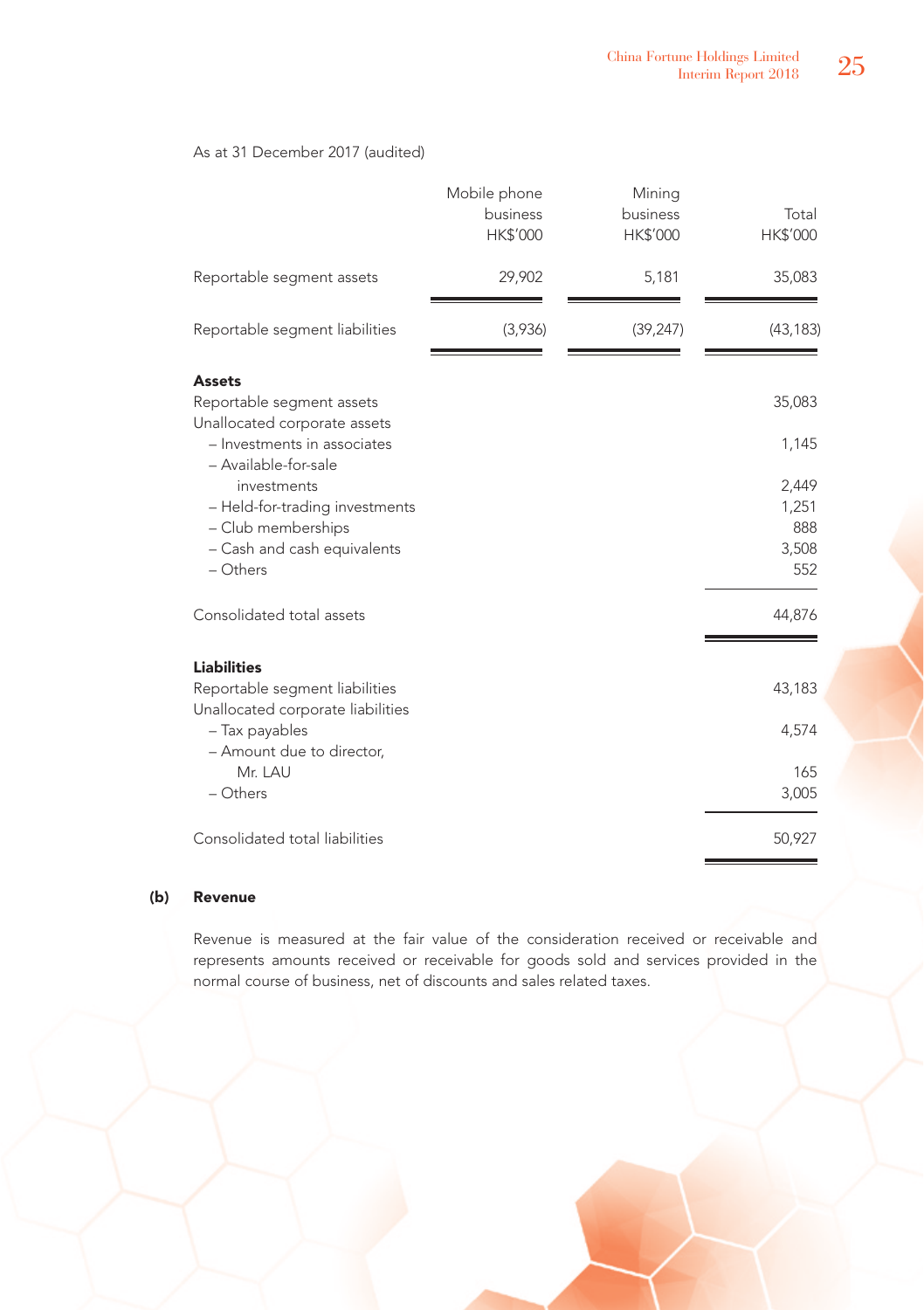# As at 31 December 2017 (audited)

|                                                                                                                                                                                                                                              | Mobile phone<br>business<br>HK\$'000 | Mining<br>business<br>HK\$'000 | Total<br>HK\$'000                                        |
|----------------------------------------------------------------------------------------------------------------------------------------------------------------------------------------------------------------------------------------------|--------------------------------------|--------------------------------|----------------------------------------------------------|
| Reportable segment assets                                                                                                                                                                                                                    | 29,902                               | 5,181                          | 35,083                                                   |
| Reportable segment liabilities                                                                                                                                                                                                               | (3,936)                              | (39, 247)                      | (43, 183)                                                |
| Assets<br>Reportable segment assets<br>Unallocated corporate assets<br>- Investments in associates<br>- Available-for-sale<br>investments<br>- Held-for-trading investments<br>- Club memberships<br>- Cash and cash equivalents<br>- Others |                                      |                                | 35,083<br>1,145<br>2,449<br>1,251<br>888<br>3,508<br>552 |
| Consolidated total assets                                                                                                                                                                                                                    |                                      |                                | 44,876                                                   |
| <b>Liabilities</b><br>Reportable segment liabilities<br>Unallocated corporate liabilities<br>- Tax payables<br>- Amount due to director,<br>Mr. LAU<br>- Others                                                                              |                                      |                                | 43,183<br>4,574<br>165<br>3,005                          |
| Consolidated total liabilities                                                                                                                                                                                                               |                                      |                                | 50,927                                                   |

# (b) Revenue

Revenue is measured at the fair value of the consideration received or receivable and represents amounts received or receivable for goods sold and services provided in the normal course of business, net of discounts and sales related taxes.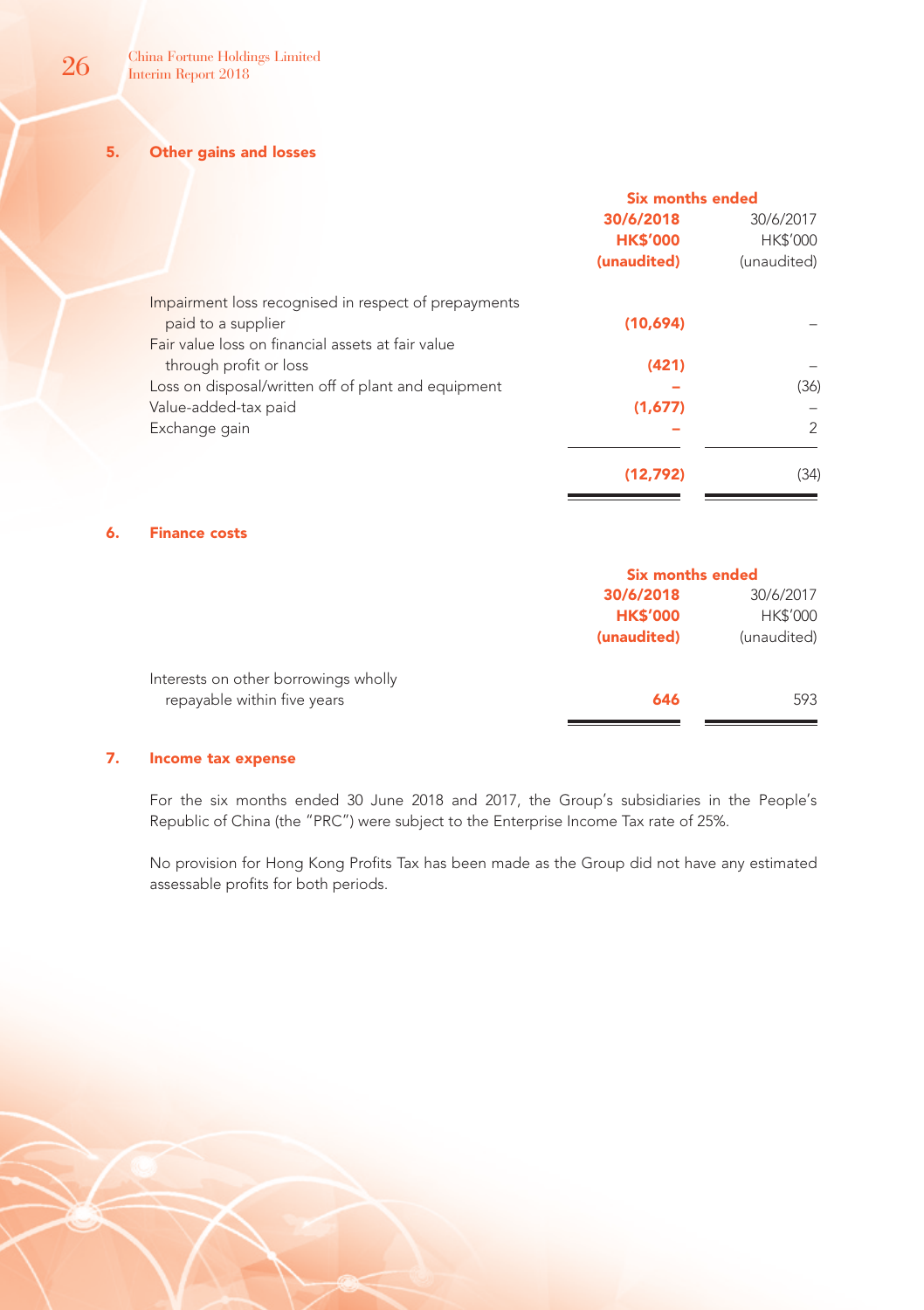5. Other gains and losses

|                                                      | <b>Six months ended</b> |               |
|------------------------------------------------------|-------------------------|---------------|
|                                                      | 30/6/2018               | 30/6/2017     |
|                                                      | <b>HK\$'000</b>         | HK\$'000      |
|                                                      | (unaudited)             | (unaudited)   |
| Impairment loss recognised in respect of prepayments |                         |               |
| paid to a supplier                                   | (10,694)                |               |
| Fair value loss on financial assets at fair value    |                         |               |
| through profit or loss                               | (421)                   |               |
| Loss on disposal/written off of plant and equipment  |                         | (36)          |
| Value-added-tax paid                                 | (1,677)                 |               |
| Exchange gain                                        |                         | $\mathcal{P}$ |
|                                                      | (12.792)                | (34)          |

### 6. Finance costs

|                                      | <b>Six months ended</b> |                 |
|--------------------------------------|-------------------------|-----------------|
|                                      | 30/6/2018               | 30/6/2017       |
|                                      | <b>HK\$'000</b>         | <b>HK\$'000</b> |
|                                      | (unaudited)             | (unaudited)     |
| Interests on other borrowings wholly |                         |                 |
| repayable within five years          | 646                     | 593             |
|                                      |                         |                 |

# 7. Income tax expense

For the six months ended 30 June 2018 and 2017, the Group's subsidiaries in the People's Republic of China (the "PRC") were subject to the Enterprise Income Tax rate of 25%.

No provision for Hong Kong Profits Tax has been made as the Group did not have any estimated assessable profits for both periods.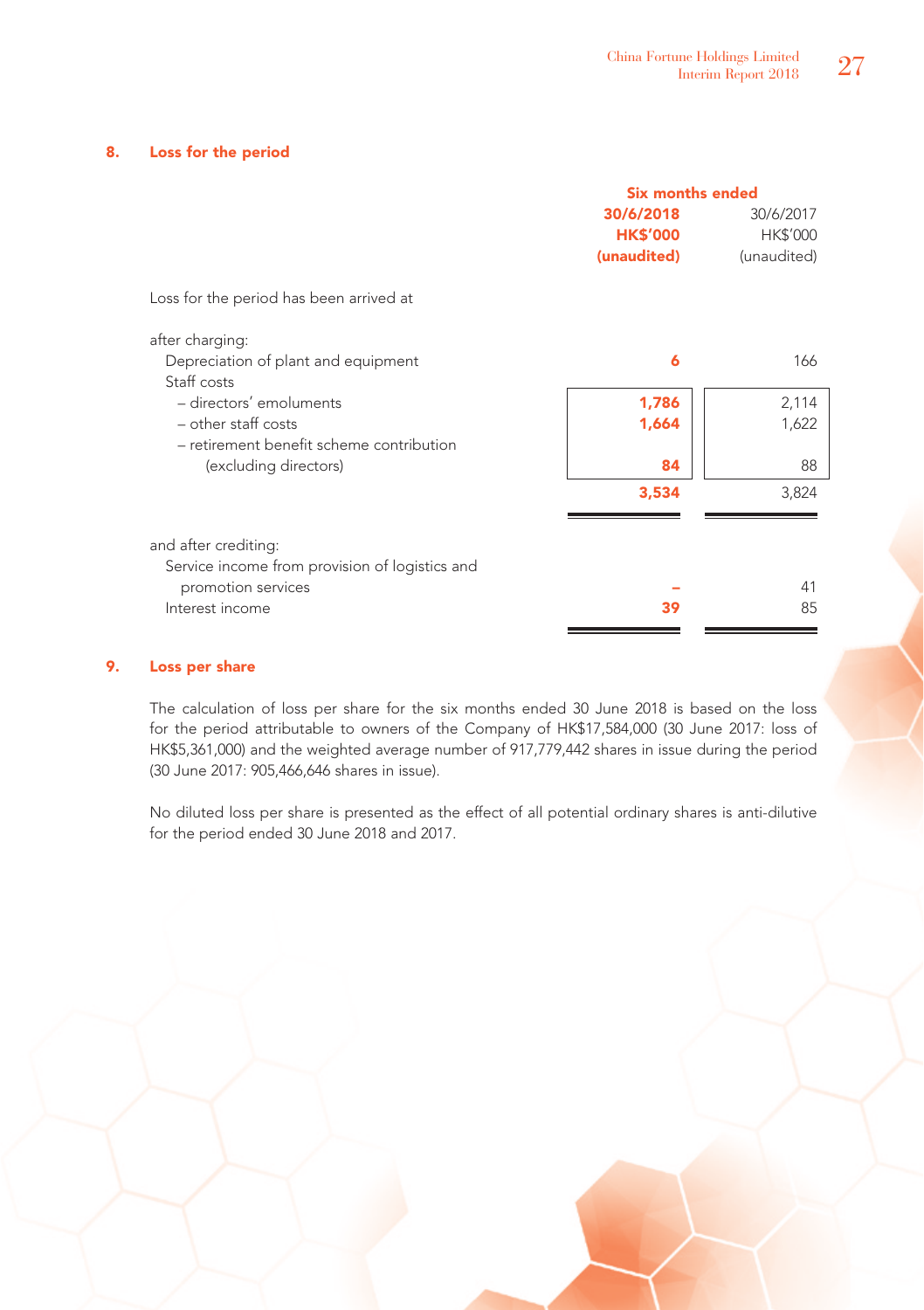### 8. Loss for the period

|                                                | Six months ended |             |
|------------------------------------------------|------------------|-------------|
|                                                | 30/6/2018        | 30/6/2017   |
|                                                | <b>HK\$'000</b>  | HK\$'000    |
|                                                | (unaudited)      | (unaudited) |
| Loss for the period has been arrived at        |                  |             |
| after charging:                                |                  |             |
| Depreciation of plant and equipment            | 6                | 166         |
| Staff costs                                    |                  |             |
| - directors' emoluments                        | 1,786            | 2,114       |
| $-$ other staff costs                          | 1,664            | 1,622       |
| - retirement benefit scheme contribution       |                  |             |
| (excluding directors)                          | 84               | 88          |
|                                                | 3,534            | 3,824       |
|                                                |                  |             |
| and after crediting:                           |                  |             |
| Service income from provision of logistics and |                  |             |
| promotion services                             |                  | 41          |
| Interest income                                | 39               | 85          |
|                                                |                  |             |

# 9. Loss per share

The calculation of loss per share for the six months ended 30 June 2018 is based on the loss for the period attributable to owners of the Company of HK\$17,584,000 (30 June 2017: loss of HK\$5,361,000) and the weighted average number of 917,779,442 shares in issue during the period (30 June 2017: 905,466,646 shares in issue).

No diluted loss per share is presented as the effect of all potential ordinary shares is anti-dilutive for the period ended 30 June 2018 and 2017.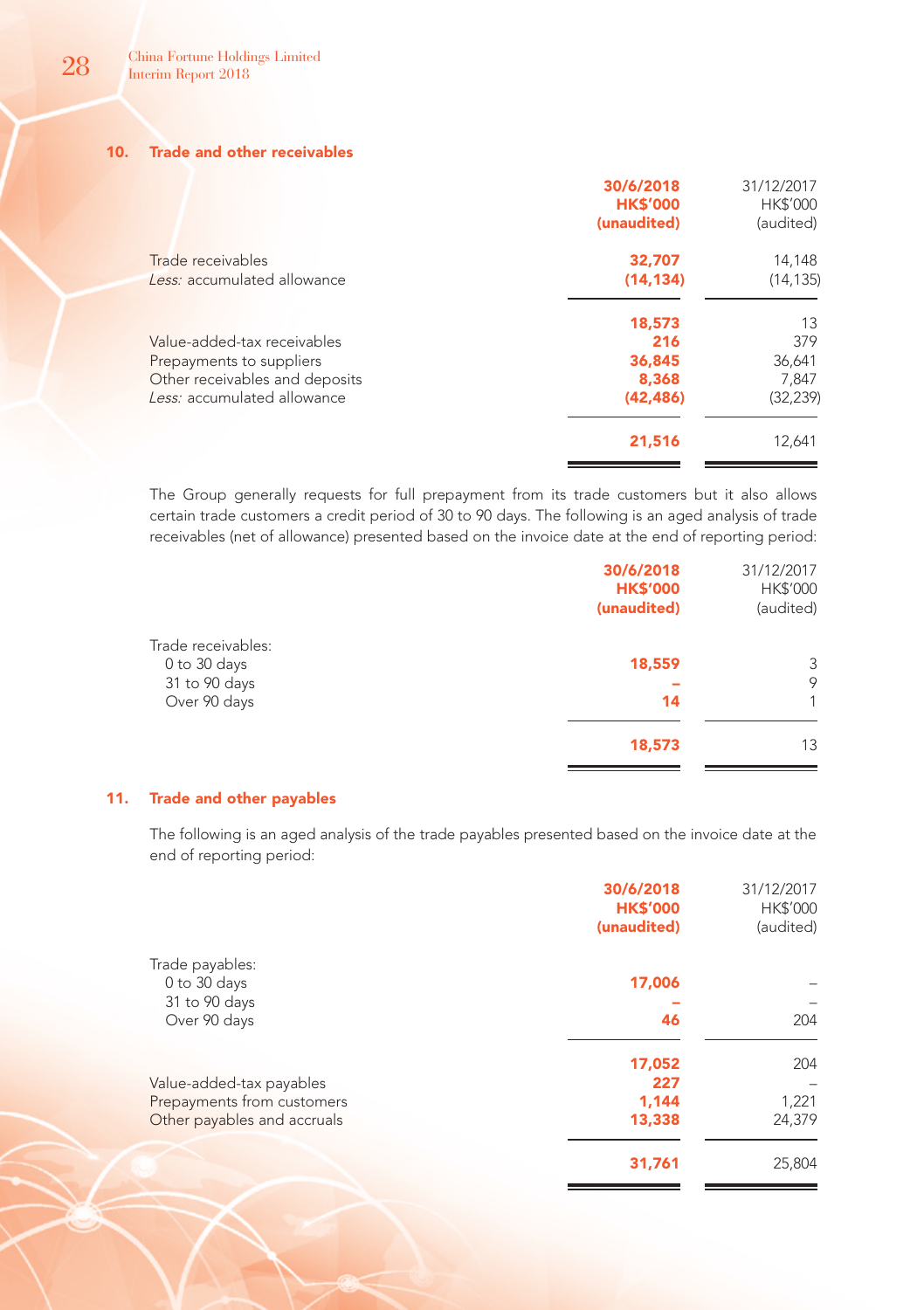## 10. Trade and other receivables

| 30/6/2018<br><b>HK\$'000</b><br>(unaudited) | 31/12/2017<br><b>HK\$'000</b><br>(audited) |
|---------------------------------------------|--------------------------------------------|
| 32,707                                      | 14,148                                     |
| (14.134)                                    | (14, 135)                                  |
| 18,573                                      | 13                                         |
| 216                                         | 379                                        |
| 36,845                                      | 36,641                                     |
| 8.368                                       | 7.847                                      |
| (42, 486)                                   | (32, 239)                                  |
| 21,516                                      | 12,641                                     |
|                                             |                                            |

The Group generally requests for full prepayment from its trade customers but it also allows certain trade customers a credit period of 30 to 90 days. The following is an aged analysis of trade receivables (net of allowance) presented based on the invoice date at the end of reporting period:

|                                                                     | 30/6/2018<br><b>HK\$'000</b><br>(unaudited) | 31/12/2017<br>HK\$'000<br>(audited) |
|---------------------------------------------------------------------|---------------------------------------------|-------------------------------------|
| Trade receivables:<br>0 to 30 days<br>31 to 90 days<br>Over 90 days | 18,559<br>14                                | 3<br>9<br>1                         |
|                                                                     | 18,573                                      | 13                                  |

### 11. Trade and other payables

The following is an aged analysis of the trade payables presented based on the invoice date at the end of reporting period:

|                             | 30/6/2018<br><b>HK\$'000</b><br>(unaudited) | 31/12/2017<br><b>HK\$'000</b><br>(audited) |
|-----------------------------|---------------------------------------------|--------------------------------------------|
| Trade payables:             |                                             |                                            |
| 0 to 30 days                | 17,006                                      |                                            |
| 31 to 90 days               |                                             |                                            |
| Over 90 days                | 46                                          | 204                                        |
|                             | 17,052                                      | 204                                        |
| Value-added-tax payables    | 227                                         |                                            |
| Prepayments from customers  | 1.144                                       | 1,221                                      |
| Other payables and accruals | 13,338                                      | 24,379                                     |
|                             | 31,761                                      | 25,804                                     |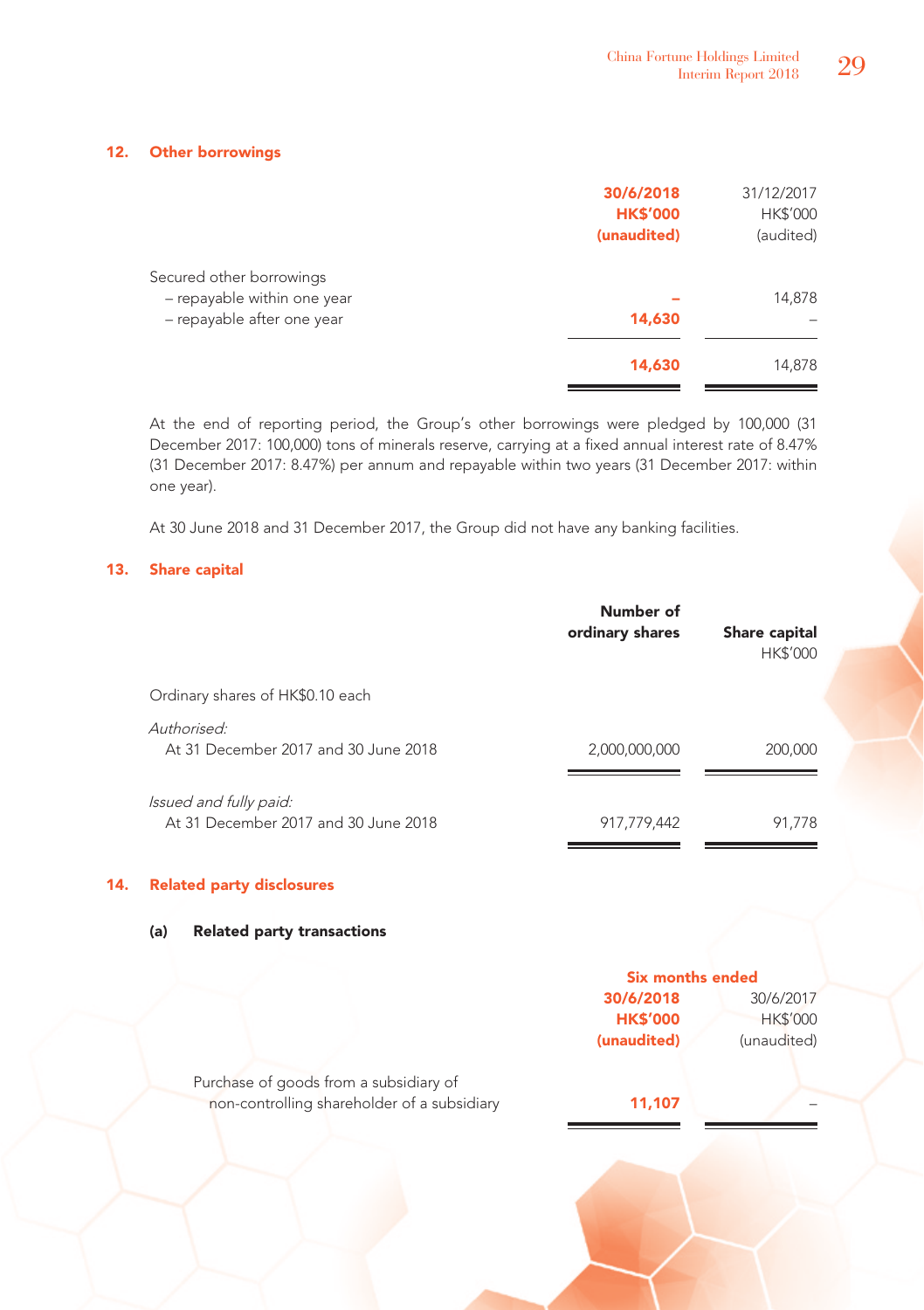# 12. Other borrowings

|                                                                                       | 30/6/2018<br><b>HK\$'000</b><br>(unaudited) | 31/12/2017<br>HK\$'000<br>(audited) |
|---------------------------------------------------------------------------------------|---------------------------------------------|-------------------------------------|
| Secured other borrowings<br>- repayable within one year<br>- repayable after one year | 14,630                                      | 14,878                              |
|                                                                                       | 14,630                                      | 14,878                              |

At the end of reporting period, the Group's other borrowings were pledged by 100,000 (31 December 2017: 100,000) tons of minerals reserve, carrying at a fixed annual interest rate of 8.47% (31 December 2017: 8.47%) per annum and repayable within two years (31 December 2017: within one year).

At 30 June 2018 and 31 December 2017, the Group did not have any banking facilities.

# 13. Share capital

|                                                                | Number of<br>ordinary shares | Share capital<br>HK\$'000 |
|----------------------------------------------------------------|------------------------------|---------------------------|
| Ordinary shares of HK\$0.10 each                               |                              |                           |
| Authorised:<br>At 31 December 2017 and 30 June 2018            | 2,000,000,000                | 200,000                   |
| Issued and fully paid:<br>At 31 December 2017 and 30 June 2018 | 917,779,442                  | 91.778                    |

# 14. Related party disclosures

# (a) Related party transactions

|                                             | <b>Six months ended</b> |                 |  |
|---------------------------------------------|-------------------------|-----------------|--|
|                                             | 30/6/2018<br>30/6/2017  |                 |  |
|                                             | <b>HK\$'000</b>         | <b>HK\$'000</b> |  |
|                                             | (unaudited)             | (unaudited)     |  |
| Purchase of goods from a subsidiary of      |                         |                 |  |
| non-controlling shareholder of a subsidiary | 11,107                  |                 |  |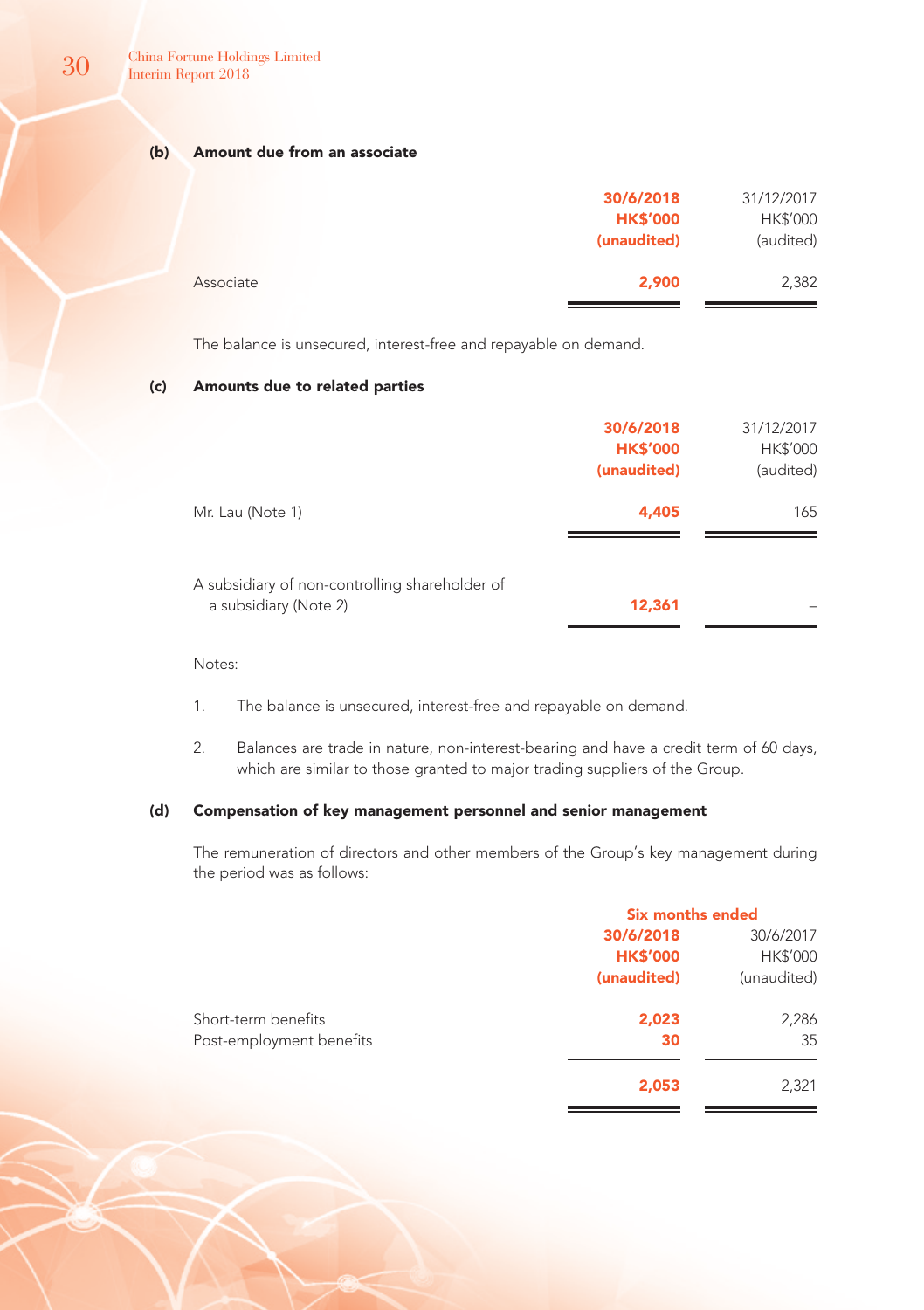# (b) Amount due from an associate

|           | 30/6/2018<br><b>HK\$'000</b> | 31/12/2017<br>HK\$'000 |
|-----------|------------------------------|------------------------|
|           | (unaudited)                  | (audited)              |
| Associate | 2,900                        | 2,382                  |

The balance is unsecured, interest-free and repayable on demand.

# (c) Amounts due to related parties

|                                                                         | 30/6/2018<br><b>HK\$'000</b><br>(unaudited) | 31/12/2017<br>HK\$'000<br>(audited) |
|-------------------------------------------------------------------------|---------------------------------------------|-------------------------------------|
| Mr. Lau (Note 1)                                                        | 4,405                                       | 165                                 |
| A subsidiary of non-controlling shareholder of<br>a subsidiary (Note 2) | 12,361                                      |                                     |

### Notes:

- 1. The balance is unsecured, interest-free and repayable on demand.
- 2. Balances are trade in nature, non-interest-bearing and have a credit term of 60 days, which are similar to those granted to major trading suppliers of the Group.

# (d) Compensation of key management personnel and senior management

The remuneration of directors and other members of the Group's key management during the period was as follows:

|                          | <b>Six months ended</b> |             |  |
|--------------------------|-------------------------|-------------|--|
|                          | 30/6/2018               | 30/6/2017   |  |
|                          | <b>HK\$'000</b>         | HK\$'000    |  |
|                          | (unaudited)             | (unaudited) |  |
| Short-term benefits      | 2,023                   | 2,286       |  |
| Post-employment benefits | 30                      | 35          |  |
|                          | 2,053                   | 2,321       |  |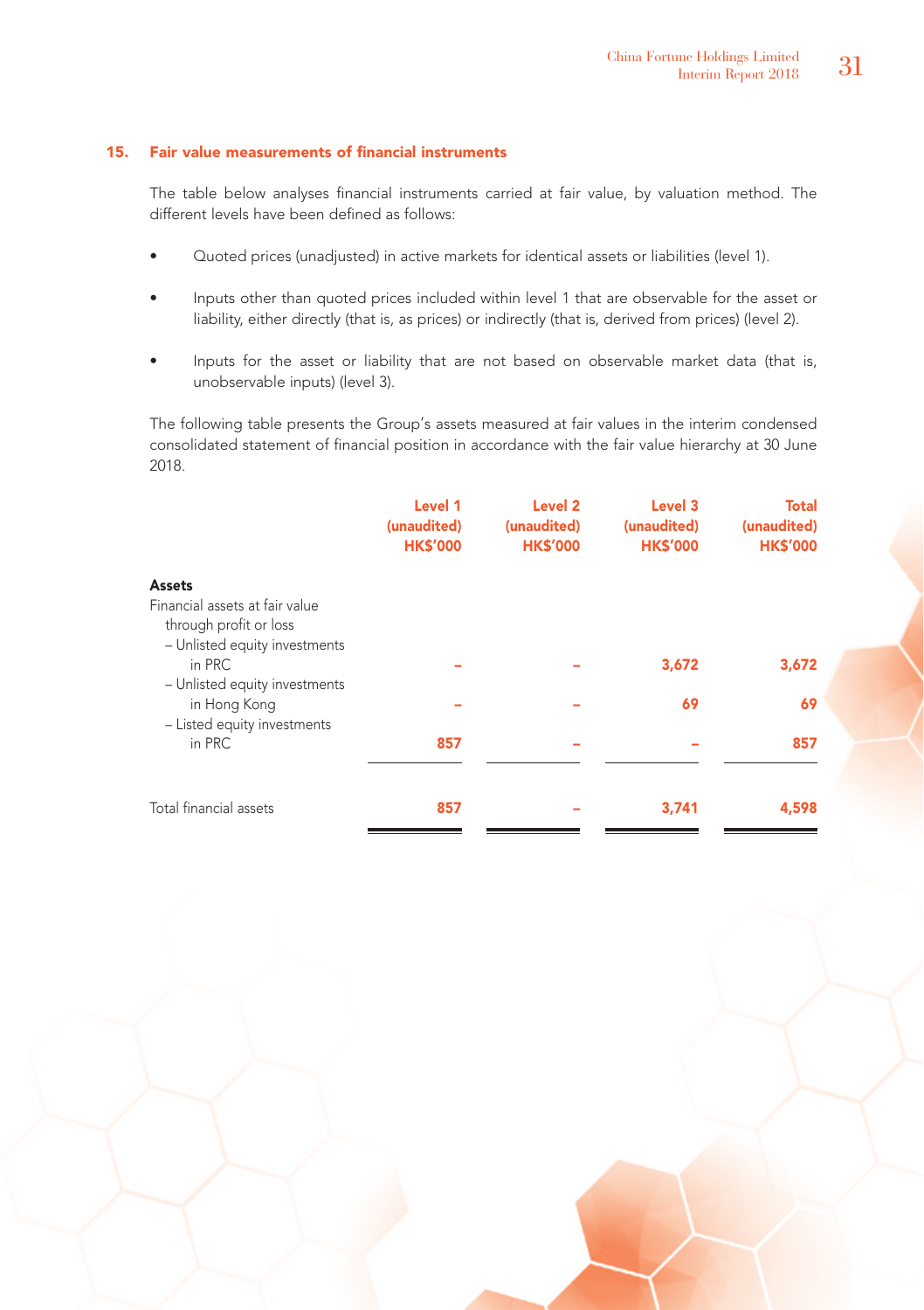# 15. Fair value measurements of financial instruments

The table below analyses financial instruments carried at fair value, by valuation method. The different levels have been defined as follows:

- Quoted prices (unadjusted) in active markets for identical assets or liabilities (level 1).
- Inputs other than quoted prices included within level 1 that are observable for the asset or liability, either directly (that is, as prices) or indirectly (that is, derived from prices) (level 2).
- Inputs for the asset or liability that are not based on observable market data (that is, unobservable inputs) (level 3).

The following table presents the Group's assets measured at fair values in the interim condensed consolidated statement of financial position in accordance with the fair value hierarchy at 30 June 2018.

|                                                                              | Level 1<br>(unaudited)<br><b>HK\$'000</b> | Level <sub>2</sub><br>(unaudited)<br><b>HK\$'000</b> | Level 3<br>(unaudited)<br><b>HK\$'000</b> | <b>Total</b><br>(unaudited)<br><b>HK\$'000</b> |
|------------------------------------------------------------------------------|-------------------------------------------|------------------------------------------------------|-------------------------------------------|------------------------------------------------|
| <b>Assets</b>                                                                |                                           |                                                      |                                           |                                                |
| Financial assets at fair value<br>through profit or loss                     |                                           |                                                      |                                           |                                                |
| - Unlisted equity investments<br>in PRC                                      |                                           |                                                      | 3,672                                     | 3,672                                          |
| - Unlisted equity investments<br>in Hong Kong<br>- Listed equity investments |                                           |                                                      | 69                                        | 69                                             |
| in PRC                                                                       | 857                                       | -                                                    | -                                         | 857                                            |
| Total financial assets                                                       | 857                                       | -                                                    | 3.741                                     | 4,598                                          |